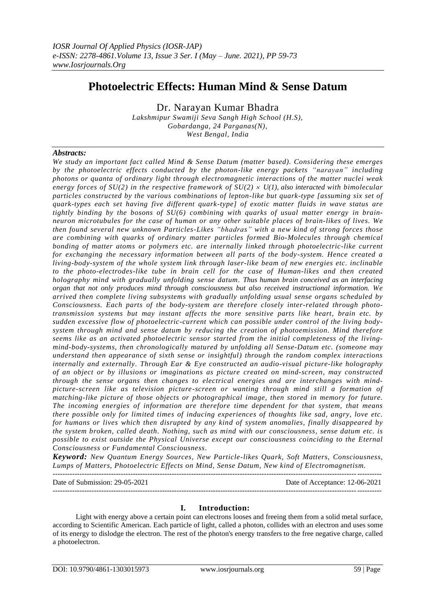# **Photoelectric Effects: Human Mind & Sense Datum**

Dr. Narayan Kumar Bhadra

*Lakshmipur Swamiji Seva Sangh High School (H.S), Gobardanga, 24 Parganas(N), West Bengal, India*

# *Abstracts:*

*We study an important fact called Mind & Sense Datum (matter based). Considering these emerges by the photoelectric effects conducted by the photon-like energy packets "narayan" including photons or quanta of ordinary light through electromagnetic interactions of the matter nuclei weak energy forces of SU(2) in the respective framework of SU(2)*  $\times$  *U(1), also interacted with bimolecular particles constructed by the various combinations of lepton-like but quark-type [assuming six set of quark-types each set having five different quark-type] of exotic matter fluids in wave status are tightly binding by the bosons of SU(6) combining with quarks of usual matter energy in brainneuron microtubules for the case of human or any other suitable places of brain-likes of lives. We then found several new unknown Particles-Likes "bhadras" with a new kind of strong forces those are combining with quarks of ordinary matter particles formed Bio-Molecules through chemical bonding of matter atoms or polymers etc. are internally linked through photoelectric-like current for exchanging the necessary information between all parts of the body-system. Hence created a living-body-system of the whole system link through laser-like beam of new energies etc. inclinable to the photo-electrodes-like tube in brain cell for the case of Human-likes and then created holography mind with gradually unfolding sense datum. Thus human brain conceived as an interfacing organ that not only produces mind through consciousness but also received instructional information. We arrived then complete living subsystems with gradually unfolding usual sense organs scheduled by Consciousness. Each parts of the body-system are therefore closely inter-related through phototransmission systems but may instant affects the more sensitive parts like heart, brain etc. by sudden excessive flow of photoelectric-current which can possible under control of the living bodysystem through mind and sense datum by reducing the creation of photoemission. Mind therefore seems like as an activated photoelectric sensor started from the initial completeness of the livingmind-body-systems, then chronologically matured by unfolding all Sense-Datum etc. (someone may understand then appearance of sixth sense or insightful) through the random complex interactions internally and externally. Through Ear & Eye constructed an audio-visual picture-like holography of an object or by illusions or imaginations as picture created on mind-screen, may constructed through the sense organs then changes to electrical energies and are interchanges with mindpicture-screen like as television picture-screen or wanting through mind still a formation of matching-like picture of those objects or photographical image, then stored in memory for future. The incoming energies of information are therefore time dependent for that system, that means there possible only for limited times of inducing experiences of thoughts like sad, angry, love etc. for humans or lives which then disrupted by any kind of system anomalies, finally disappeared by the system broken, called death. Nothing, such as mind with our consciousness, sense datum etc. is possible to exist outside the Physical Universe except our consciousness coinciding to the Eternal Consciousness or Fundamental Consciousness.*

*Keyword: New Quantum Energy Sources, New Particle-likes Quark, Soft Matters, Consciousness, Lumps of Matters, Photoelectric Effects on Mind, Sense Datum, New kind of Electromagnetism.*

---------------------------------------------------------------------------------------------------------------------------------------

Date of Submission: 29-05-2021 Date of Acceptance: 12-06-2021 ---------------------------------------------------------------------------------------------------------------------------------------

# **I. Introduction:**

Light with energy above a certain point can electrons looses and freeing them from a solid metal surface, according to Scientific American. Each particle of light, called a photon, collides with an electron and uses some of its energy to dislodge the electron. The rest of the photon's energy transfers to the free negative charge, called a photoelectron.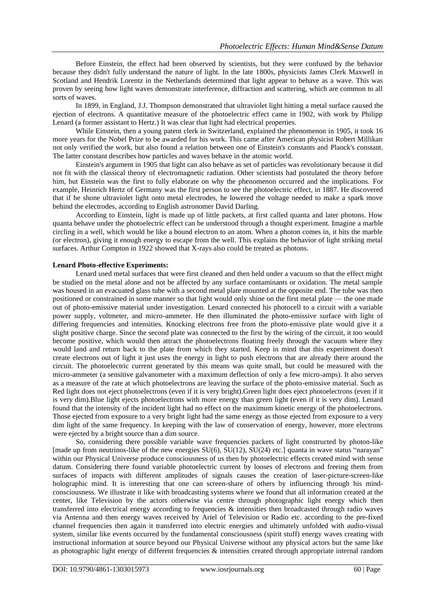Before Einstein, the effect had been observed by scientists, but they were confused by the behavior because they didn't fully understand the nature of light. In the late 1800s, physicists James Clerk Maxwell in Scotland and Hendrik Lorentz in the Netherlands determined that light appear to behave as a wave. This was proven by seeing how light waves demonstrate interference, diffraction and scattering, which are common to all sorts of waves.

In 1899, in England, J.J. Thompson demonstrated that ultraviolet light hitting a metal surface caused the ejection of electrons. A quantitative measure of the photoelectric effect came in 1902, with work by Philipp Lenard (a former assistant to Hertz.) It was clear that light had electrical properties.

While Einstein, then a young patent clerk in Switzerland, explained the phenomenon in 1905, it took 16 more years for the Nobel Prize to be awarded for his work. This came after American physicist Robert Millikan not only verified the work, but also found a relation between one of Einstein's constants and Planck's constant. The latter constant describes how particles and waves behave in the atomic world.

Einstein's argument in 1905 that light can also behave as set of particles was revolutionary because it did not fit with the classical theory of electromagnetic radiation. Other scientists had postulated the theory before him, but Einstein was the first to fully elaborate on why the phenomenon occurred and the implications. For example, Heinrich Hertz of Germany was the first person to see the [photoelectric effect,](http://www.daviddarling.info/encyclopedia/E/Einstein_and_photoelectric_effect.html) in 1887. He discovered that if he shone ultraviolet light onto metal electrodes, he lowered the voltage needed to make a spark move behind the electrodes, according to English astronomer David Darling.

According to Einstein, light is made up of little packets, at first called quanta and later photons. How quanta behave under the photoelectric effect can be understood through a thought experiment. Imagine a marble circling in a well, which would be like a bound electron to an atom. When a photon comes in, it hits the marble (or electron), giving it enough energy to escape from the well. This explains the behavior of light striking metal surfaces. Arthur Compton in 1922 showed that X-rays also could be treated as photons.

### **Lenard Photo-effective Experiments:**

Lenard used metal surfaces that were first cleaned and then held under a vacuum so that the effect might be studied on the metal alone and not be affected by any surface contaminants or oxidation. The metal sample was housed in an evacuated glass tube with a second metal plate mounted at the opposite end. The tube was then positioned or constrained in some manner so that light would only shine on the first metal plate — the one made out of photo-emissive material under investigation. Lenard connected his photocell to a circuit with a variable power supply, voltmeter, and micro-ammeter. He then illuminated the photo-emissive surface with light of differing frequencies and intensities. Knocking electrons free from the photo-emissive plate would give it a slight positive charge. Since the second plate was connected to the first by the wiring of the circuit, it too would become positive, which would then attract the photoelectrons floating freely through the vacuum where they would land and return back to the plate from which they started. Keep in mind that this experiment doesn't create electrons out of light it just uses the energy in light to push electrons that are already there around the circuit. The photoelectric current generated by this means was quite small, but could be measured with the micro-ammeter (a sensitive galvanometer with a maximum deflection of only a few micro-amps). It also serves as a measure of the rate at which photoelectrons are leaving the surface of the photo-emissive material. Such as Red light does not eject photoelectrons (even if it is very bright).Green light does eject photoelectrons (even if it is very dim).Blue light ejects photoelectrons with more energy than green light (even if it is very dim). Lenard found that the intensity of the incident light had no effect on the maximum kinetic energy of the photoelectrons. Those ejected from exposure to a very bright light had the same energy as those ejected from exposure to a very dim light of the same frequency. In keeping with the law of conservation of energy, however, more electrons were ejected by a bright source than a dim source.

So, considering there possible variable wave frequencies packets of light constructed by photon-like [made up from neutrinos-like of the new energies SU(6), SU(12), SU(24) etc.] quanta in wave status "narayan" within our Physical Universe produce consciousness of us then by photoelectric effects created mind with sense datum. Considering there found variable photoelectric current by looses of electrons and freeing them from surfaces of impacts with different amplitudes of signals causes the creation of laser-picture-screen-like holographic mind. It is interesting that one can screen-share of others by influencing through his mindconsciousness. We illustrate it like with broadcasting systems where we found that all information created at the center, like Television by the actors otherwise via centre through photographic light energy which then transferred into electrical energy according to frequencies & intensities then broadcasted through radio waves via Antenna and then energy waves received by Ariel of Television or Radio etc. according to the pre-fixed channel frequencies then again it transferred into electric energies and ultimately unfolded with audio-visual system, similar like events occurred by the fundamental consciousness (spirit stuff) energy waves creating with instructional information at source beyond our Physical Universe without any physical actors but the same like as photographic light energy of different frequencies & intensities created through appropriate internal random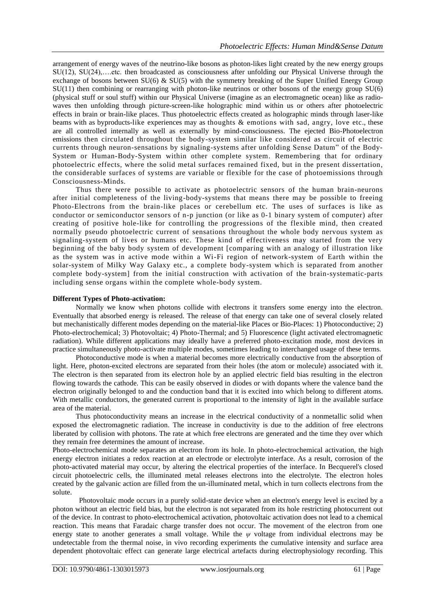arrangement of energy waves of the neutrino-like bosons as photon-likes light created by the new energy groups SU(12), SU(24),….etc. then broadcasted as consciousness after unfolding our Physical Universe through the exchange of bosons between SU(6) & SU(5) with the symmetry breaking of the Super Unified Energy Group SU(11) then combining or rearranging with photon-like neutrinos or other bosons of the energy group SU(6) (physical stuff or soul stuff) within our Physical Universe (imagine as an electromagnetic ocean) like as radiowaves then unfolding through picture-screen-like holographic mind within us or others after photoelectric effects in brain or brain-like places. Thus photoelectric effects created as holographic minds through laser-like beams with as byproducts-like experiences may as thoughts & emotions with sad, angry, love etc., these are all controlled internally as well as externally by mind-consciousness. The ejected Bio-Photoelectron emissions then circulated throughout the body-system similar like considered as circuit of electric currents through neuron-sensations by signaling-systems after unfolding Sense Datum" of the Body-System or Human-Body-System within other complete system. Remembering that for ordinary photoelectric effects, where the solid metal surfaces remained fixed, but in the present dissertation, the considerable surfaces of systems are variable or flexible for the case of photoemissions through Consciousness-Minds.

Thus there were possible to activate as photoelectric sensors of the human brain-neurons after initial completeness of the living-body-systems that means there may be possible to freeing Photo-Electrons from the brain-like places or cerebellum etc. The uses of surfaces is like as conductor or semiconductor sensors of n-p junction (or like as 0-1 binary system of computer) after creating of positive hole-like for controlling the progressions of the flexible mind, then created normally pseudo photoelectric current of sensations throughout the whole body nervous system as signaling-system of lives or humans etc. These kind of effectiveness may started from the very beginning of the baby body system of development [comparing with an analogy of illustration like as the system was in active mode within a Wi-Fi region of network-system of Earth within the solar-system of Milky Way Galaxy etc., a complete body-system which is separated from another complete body-system] from the initial construction with activation of the brain-systematic-parts including sense organs within the complete whole-body system.

## **Different Types of Photo-activation:**

Normally we know when photons collide with electrons it transfers some energy into the electron. Eventually that absorbed energy is released. The release of that energy can take one of several closely related but mechanistically different modes depending on the material-like Places or Bio-Places: 1) Photoconductive; 2) Photo-electrochemical; 3) Photovoltaic; 4) Photo-Thermal; and 5) Fluorescence (light activated electromagnetic radiation). While different applications may ideally have a preferred photo-excitation mode, most devices in practice simultaneously photo-activate multiple modes, sometimes leading to interchanged usage of these terms.

Photoconductive mode is when a material becomes more electrically conductive from the absorption of light. Here, photon-excited electrons are separated from their holes (the atom or molecule) associated with it. The electron is then separated from its electron hole by an applied electric field bias resulting in the electron flowing towards the cathode. This can be easily observed in diodes or with dopants where the valence band the electron originally belonged to and the conduction band that it is excited into which belong to different atoms. With metallic conductors, the generated current is proportional to the intensity of light in the available surface area of the material.

Thus photoconductivity means an increase in the electrical conductivity of a nonmetallic solid when exposed the electromagnetic radiation. The increase in conductivity is due to the addition of free electrons liberated by collision with photons. The rate at which free electrons are generated and the time they over which they remain free determines the amount of increase.

Photo-electrochemical mode separates an electron from its hole. In photo-electrochemical activation, the high energy electron initiates a redox reaction at an electrode or electrolyte interface. As a result, corrosion of the photo-activated material may occur, by altering the electrical properties of the interface. In Becquerel's closed circuit photoelectric cells, the illuminated metal releases electrons into the electrolyte. The electron holes created by the galvanic action are filled from the un-illuminated metal, which in turn collects electrons from the solute.

Photovoltaic mode occurs in a purely solid-state device when an electron's energy level is excited by a photon without an electric field bias, but the electron is not separated from its hole restricting photocurrent out of the device. In contrast to photo-electrochemical activation, photovoltaic activation does not lead to a chemical reaction. This means that Faradaic charge transfer does not occur. The movement of the electron from one energy state to another generates a small voltage. While the *ψ* voltage from individual electrons may be undetectable from the thermal noise, in vivo recording experiments the cumulative intensity and surface area dependent photovoltaic effect can generate large electrical artefacts during electrophysiology recording. This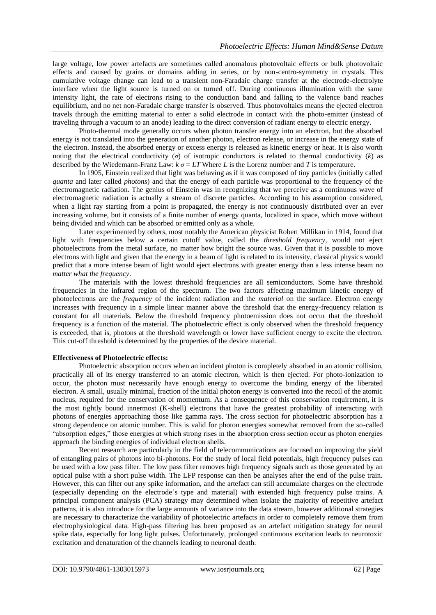large voltage, low power artefacts are sometimes called anomalous photovoltaic effects or bulk photovoltaic effects and caused by grains or domains adding in series, or by non-centro-symmetry in crystals. This cumulative voltage change can lead to a transient non-Faradaic charge transfer at the electrode-electrolyte interface when the light source is turned on or turned off. During continuous illumination with the same intensity light, the rate of electrons rising to the conduction band and falling to the valence band reaches equilibrium, and no net non-Faradaic charge transfer is observed. Thus photovoltaics means the ejected electron travels through the emitting material to enter a solid electrode in contact with the photo-emitter (instead of traveling through a vacuum to an anode) leading to the direct conversion of radiant energy to electric energy.

Photo-thermal mode generally occurs when photon transfer energy into an electron, but the absorbed energy is not translated into the generation of another photon, electron release, or increase in the energy state of the electron. Instead, the absorbed energy or excess energy is released as kinetic energy or heat. It is also worth noting that the electrical conductivity  $(\sigma)$  of isotropic conductors is related to thermal conductivity  $(k)$  as described by the Wiedemann-Franz Law:  $k \sigma = LT$  Where *L* is the Lorenz number and *T* is temperature.

In 1905, Einstein realized that light was behaving as if it was composed of tiny particles (initially called *quanta* and later called *photons*) and that the energy of each particle was proportional to the frequency of the electromagnetic radiation. The genius of Einstein was in recognizing that we perceive as a continuous wave of electromagnetic radiation is actually a stream of discrete particles. According to his assumption considered, when a light ray starting from a point is propagated, the energy is not continuously distributed over an ever increasing volume, but it consists of a finite number of energy quanta, localized in space, which move without being divided and which can be absorbed or emitted only as a whole.

Later experimented by others, most notably the American physicist [Robert Millikan](https://en.wikipedia.org/wiki/Robert_Andrews_Millikan) in 1914, found that light with frequencies below a certain cutoff value, called the *threshold frequency*, would not eject photoelectrons from the metal surface, no matter how bright the source was. Given that it is possible to move electrons with light and given that the energy in a beam of light is related to its intensity, classical physics would predict that a more intense beam of light would eject electrons with greater energy than a less intense beam *no matter what the frequency*.

The materials with the lowest threshold frequencies are all semiconductors. Some have threshold frequencies in the infrared region of the spectrum. The two factors affecting maximum kinetic energy of photoelectrons are the *frequency* of the incident radiation and the *material* on the surface. Electron energy increases with frequency in a simple linear manner above the threshold that the energy-frequency relation is constant for all materials. Below the threshold frequency photoemission does not occur that the threshold frequency is a function of the material. The photoelectric effect is only observed when the threshold frequency is exceeded, that is, photons at the threshold wavelength or lower have sufficient energy to excite the electron. This cut-off threshold is determined by the properties of the device material.

### **Effectiveness of Photoelectric effects:**

Photoelectric absorption occurs when an incident photon is completely absorbed in an atomic collision, practically all of its energy transferred to an atomic electron, which is then ejected. For photo-ionization to occur, the photon must necessarily have enough energy to overcome the binding energy of the liberated electron. A small, usually minimal, fraction of the initial photon energy is converted into the recoil of the atomic nucleus, required for the conservation of momentum. As a consequence of this conservation requirement, it is the most tightly bound innermost (K-shell) electrons that have the greatest probability of interacting with photons of energies approaching those like gamma rays. The cross section for photoelectric absorption has a strong dependence on atomic number. This is valid for photon energies somewhat removed from the so-called "absorption edges," those energies at which strong rises in the absorption cross section occur as photon energies approach the binding energies of individual electron shells.

Recent research are particularly in the field of telecommunications are focused on improving the yield of entangling pairs of photons into bi-photons. For the study of local field potentials, high frequency pulses can be used with a low pass filter. The low pass filter removes high frequency signals such as those generated by an optical pulse with a short pulse width. The LFP response can then be analyses after the end of the pulse train. However, this can filter out any spike information, and the artefact can still accumulate charges on the electrode (especially depending on the electrode's type and material) with extended high frequency pulse trains. A principal component analysis (PCA) strategy may determined when isolate the majority of repetitive artefact patterns, it is also introduce for the large amounts of variance into the data stream, however additional strategies are necessary to characterize the variability of photoelectric artefacts in order to completely remove them from electrophysiological data. High-pass filtering has been proposed as an artefact mitigation strategy for neural spike data, especially for long light pulses. Unfortunately, prolonged continuous excitation leads to neurotoxic excitation and denaturation of the channels leading to neuronal death.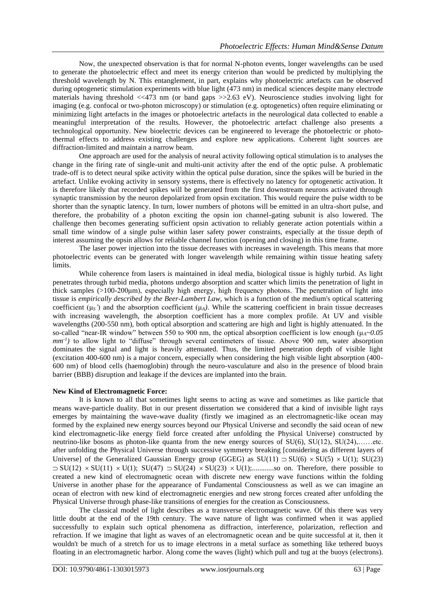Now, the unexpected observation is that for normal N-photon events, longer wavelengths can be used to generate the photoelectric effect and meet its energy criterion than would be predicted by multiplying the threshold wavelength by N. This entanglement, in part, explains why photoelectric artefacts can be observed during optogenetic stimulation experiments with blue light (473 nm) in medical sciences despite many electrode materials having threshold  $<<$ 473 nm (or band gaps  $>>$ 2.63 eV). Neuroscience studies involving light for imaging (e.g. confocal or two-photon microscopy) or stimulation (e.g. optogenetics) often require eliminating or minimizing light artefacts in the images or photoelectric artefacts in the neurological data collected to enable a meaningful interpretation of the results. However, the photoelectric artefact challenge also presents a technological opportunity. New bioelectric devices can be engineered to leverage the photoelectric or photothermal effects to address existing challenges and explore new applications. Coherent light sources are diffraction-limited and maintain a narrow beam.

One approach are used for the analysis of neural activity following optical stimulation is to analyses the change in the firing rate of single-unit and multi-unit activity after the end of the optic pulse. A problematic trade-off is to detect neural spike activity within the optical pulse duration, since the spikes will be buried in the artefact. Unlike evoking activity in sensory systems, there is effectively no latency for optogenetic activation. It is therefore likely that recorded spikes will be generated from the first downstream neurons activated through synaptic transmission by the neuron depolarized from opsin excitation. This would require the pulse width to be shorter than the synaptic latency. In turn, lower numbers of photons will be emitted in an ultra-short pulse, and therefore, the probability of a photon exciting the opsin ion channel-gating subunit is also lowered. The challenge then becomes generating sufficient opsin activation to reliably generate action potentials within a small time window of a single pulse within laser safety power constraints, especially at the tissue depth of interest assuming the opsin allows for reliable channel function (opening and closing) in this time frame.

The laser power injection into the tissue decreases with increases in wavelength. This means that more photoelectric events can be generated with longer wavelength while remaining within tissue heating safety limits.

While coherence from lasers is maintained in ideal media, biological tissue is highly turbid. As light penetrates through turbid media, photons undergo absorption and scatter which limits the penetration of light in thick samples (>100-200μm), especially high energy, high frequency photons. The penetration of light into tissue is *empirically described by the Beer-Lambert Law*, which is a function of the medium's optical scattering coefficient  $(\mu_S)$  and the absorption coefficient  $(\mu_A)$ . While the scattering coefficient in brain tissue decreases with increasing wavelength, the absorption coefficient has a more complex profile. At UV and visible wavelengths (200-550 nm), both optical absorption and scattering are high and light is highly attenuated. In the so-called "near-IR window" between 550 to 900 nm, the optical absorption coefficient is low enough (μ*A~0.05 mm-1 )* to allow light to "diffuse" through several centimeters of tissue. Above 900 nm, water absorption dominates the signal and light is heavily attenuated. Thus, the limited penetration depth of visible light (excitation 400-600 nm) is a major concern, especially when considering the high visible light absorption (400- 600 nm) of blood cells (haemoglobin) through the neuro-vasculature and also in the presence of blood brain barrier (BBB) disruption and leakage if the devices are implanted into the brain.

### **New Kind of Electromagnetic Force:**

It is known to all that sometimes light seems to acting as wave and sometimes as like particle that means wave-particle duality. But in our present dissertation we considered that a kind of invisible light rays emerges by maintaining the wave-wave duality (firstly we imagined as an electromagnetic-like ocean may formed by the explained new energy sources beyond our Physical Universe and secondly the said ocean of new kind electromagnetic-like energy field force created after unfolding the Physical Universe) constructed by neutrino-like bosons as photon-like quanta from the new energy sources of SU(6), SU(12), SU(24),……etc. after unfolding the Physical Universe through successive symmetry breaking [considering as different layers of Universe] of the Generalized Gaussian Energy group (GGEG) as  $SU(11) \supset SU(6) \times SU(5) \times U(1)$ ;  $SU(23)$  SU(12) SU(11) U(1); SU(47) SU(24) SU(23) U(1);............so on. Therefore, there possible to created a new kind of electromagnetic ocean with discrete new energy wave functions within the folding Universe in another phase for the appearance of Fundamental Consciousness as well as we can imagine an ocean of electron with new kind of electromagnetic energies and new strong forces created after unfolding the Physical Universe through phase-like transitions of energies for the creation as Consciousness.

The classical model of light describes as a transverse electromagnetic wave. Of this there was very little doubt at the end of the 19th century. The wave nature of light was confirmed when it was applied successfully to explain such optical phenomena as diffraction, interference, polarization, reflection and refraction. If we imagine that light as waves of an electromagnetic ocean and be quite successful at it, then it wouldn't be much of a stretch for us to image electrons in a metal surface as something like tethered buoys floating in an electromagnetic harbor. Along come the waves (light) which pull and tug at the buoys (electrons).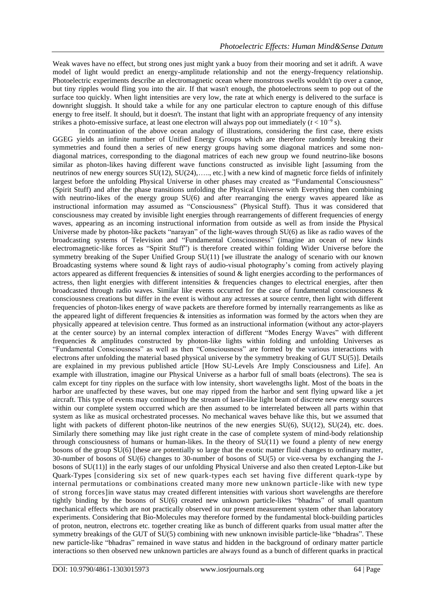Weak waves have no effect, but strong ones just might yank a buoy from their mooring and set it adrift. A wave model of light would predict an energy-amplitude relationship and not the energy-frequency relationship. Photoelectric experiments describe an electromagnetic ocean where monstrous swells wouldn't tip over a canoe, but tiny ripples would fling you into the air. If that wasn't enough, the photoelectrons seem to pop out of the surface too quickly. When light intensities are very low, the rate at which energy is delivered to the surface is downright sluggish. It should take a while for any one particular electron to capture enough of this diffuse energy to free itself. It should, but it doesn't. The instant that light with an appropriate frequency of any intensity strikes a photo-emissive surface, at least one electron will always pop out immediately  $(t < 10<sup>-9</sup> s)$ .

In continuation of the above ocean analogy of illustrations, considering the first case, there exists GGEG yields an infinite number of Unified Energy Groups which are therefore randomly breaking their symmetries and found then a series of new energy groups having some diagonal matrices and some nondiagonal matrices, corresponding to the diagonal matrices of each new group we found neutrino-like bosons similar as photon-likes having different wave functions constructed as invisible light [assuming from the neutrinos of new energy sources SU(12), SU(24),….., etc.] with a new kind of magnetic force fields of infinitely largest before the unfolding Physical Universe in other phases may created as "Fundamental Consciousness" (Spirit Stuff) and after the phase transitions unfolding the Physical Universe with Everything then combining with neutrino-likes of the energy group SU(6) and after rearranging the energy waves appeared like as instructional information may assumed as "Consciousness" (Physical Stuff). Thus it was considered that consciousness may created by invisible light energies through rearrangements of different frequencies of energy waves, appearing as an incoming instructional information from outside as well as from inside the Physical Universe made by photon-like packets "narayan" of the light-waves through SU(6) as like as radio waves of the broadcasting systems of Television and "Fundamental Consciousness" (imagine an ocean of new kinds electromagnetic-like forces as "Spirit Stuff") is therefore created within folding Wider Universe before the symmetry breaking of the Super Unified Group SU(11) [we illustrate the analogy of scenario with our known Broadcasting systems where sound & light rays of audio-visual photography's coming from actively playing actors appeared as different frequencies  $\&$  intensities of sound  $\&$  light energies according to the performances of actress, then light energies with different intensities & frequencies changes to electrical energies, after then broadcasted through radio waves. Similar like events occurred for the case of fundamental consciousness  $\&$ consciousness creations but differ in the event is without any actresses at source centre, then light with different frequencies of photon-likes energy of wave packets are therefore formed by internally rearrangements as like as the appeared light of different frequencies  $\&$  intensities as information was formed by the actors when they are physically appeared at television centre. Thus formed as an instructional information (without any actor-players at the center source) by an internal complex interaction of different "Modes Energy Waves" with different frequencies & amplitudes constructed by photon-like lights within folding and unfolding Universes as "Fundamental Consciousness" as well as then "Consciousness" are formed by the various interactions with electrons after unfolding the material based physical universe by the symmetry breaking of GUT SU(5)]. Details are explained in my previous published article [How SU-Levels Are Imply Consciousness and Life]. An example with illustration, imagine our Physical Universe as a harbor full of small boats (electrons). The sea is calm except for tiny ripples on the surface with low intensity, short wavelengths light. Most of the boats in the harbor are unaffected by these waves, but one may ripped from the harbor and sent flying upward like a jet aircraft. This type of events may continued by the stream of laser-like light beam of discrete new energy sources within our complete system occurred which are then assumed to be interrelated between all parts within that system as like as musical orchestrated processes. No mechanical waves behave like this, but we assumed that light with packets of different photon-like neutrinos of the new energies  $SU(6)$ ,  $SU(12)$ ,  $SU(24)$ , etc. does. Similarly there something may like just right create in the case of complete system of mind-body relationship through consciousness of humans or human-likes. In the theory of  $SU(11)$  we found a plenty of new energy bosons of the group SU(6) [these are potentially so large that the exotic matter fluid changes to ordinary matter, 30-number of bosons of SU(6) changes to 30-number of bosons of SU(5) or vice-versa by exchanging the Jbosons of SU(11)] in the early stages of our unfolding Physical Universe and also then created Lepton-Like but Quark-Types [considering six set of new quark-types each set having five different quark-type by internal permutations or combinations created many more new unknown particle -like with new type of strong forces]in wave status may created different intensities with various short wavelengths are therefore tightly binding by the bosons of SU(6) created new unknown particle-likes "bhadras" of small quantum mechanical effects which are not practically observed in our present measurement system other than laboratory experiments. Considering that Bio-Molecules may therefore formed by the fundamental block-building particles of proton, neutron, electrons etc. together creating like as bunch of different quarks from usual matter after the symmetry breakings of the GUT of SU(5) combining with new unknown invisible particle-like "bhadras". These new particle-like "bhadras" remained in wave status and hidden in the background of ordinary matter particle interactions so then observed new unknown particles are always found as a bunch of different quarks in practical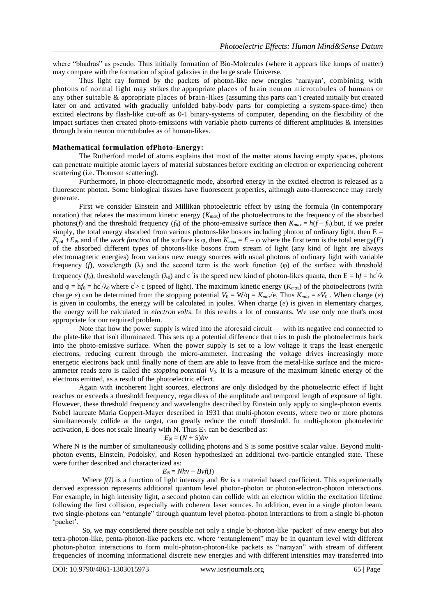where "bhadras" as pseudo. Thus initially formation of Bio-Molecules (where it appears like lumps of matter) may compare with the formation of spiral galaxies in the large scale Universe.

Thus light ray formed by the packets of photon-like new energies 'narayan', combining with photons of normal light may strikes the appropriate places of brain neuron microtubules of humans or any other suitable & appropriate places of brain-likes (assuming this parts can't created initially but created later on and activated with gradually unfolded baby-body parts for completing a system-space-time) then excited electrons by flash-like cut-off as 0-1 binary-systems of computer, depending on the flexibility of the impact surfaces then created photo-emissions with variable photo currents of different amplitudes  $\&$  intensities through brain neuron microtubules as of human-likes.

## **Mathematical formulation ofPhoto-Energy:**

The Rutherford model of atoms explains that most of the matter atoms having empty spaces, photons can penetrate multiple atomic layers of material substances before exciting an electron or experiencing coherent scattering (i.e. Thomson scattering).

Furthermore, in photo-electromagnetic mode, absorbed energy in the excited electron is released as a fluorescent photon. Some biological tissues have fluorescent properties, although auto-fluorescence may rarely generate.

First we consider Einstein and Millikan photoelectric effect by using the formula (in contemporary notation) that relates the maximum kinetic energy (*Kmax*) of the photoelectrons to the frequency of the absorbed photons(*f*) and the threshold frequency ( $f_0$ ) of the photo-emissive surface then  $K_{max} = h(f - f_0)$ .but, if we prefer simply, the total energy absorbed from various photons-like bosons including photon of ordinary light, then  $E =$  $E_{phl}$  +*E*<sub>Ph</sub> and if the *work function* of the surface is  $\varphi$ , then  $K_{max} = E - \varphi$  where the first term is the total energy(*E*) of the absorbed different types of photons-like bosons from stream of light (any kind of light are always electromagnetic energies) from various new energy sources with usual photons of ordinary light with variable frequency (*f*), wavelength ( $\lambda$ ) and the second term is the work function ( $\varphi$ ) of the surface with threshold frequency (f<sub>0</sub>), threshold wavelength ( $\lambda_0$ ) and c <sup>'</sup> is the speed new kind of photon-likes quanta, then E = hf = hc<sup>'</sup>/ $\lambda$ and  $\varphi = hf_0 = hc/\lambda_0$  where  $c > c$  (speed of light). The maximum kinetic energy (*K<sub>max</sub>*) of the photoelectrons (with charge *e*) can be determined from the stopping potential  $V_0 = W/q = K_{max}/e$ , Thus  $K_{max} = eV_0$ . When charge (*e*) is given in coulombs, the energy will be calculated in joules. When charge (*e*) is given in elementary charges, the energy will be calculated in *electron volts*. In this results a lot of constants. We use only one that's most appropriate for our required problem.

Note that how the power supply is wired into the aforesaid circuit — with its negative end connected to the plate-like that isn't illuminated. This sets up a potential difference that tries to push the photoelectrons back into the photo-emissive surface. When the power supply is set to a low voltage it traps the least energetic electrons, reducing current through the micro-ammeter. Increasing the voltage drives increasingly more energetic electrons back until finally none of them are able to leave from the metal-like surface and the microammeter reads zero is called the *stopping potential V*0. It is a measure of the maximum kinetic energy of the electrons emitted, as a result of the photoelectric effect.

Again with incoherent light sources, electrons are only dislodged by the photoelectric effect if light reaches or exceeds a threshold frequency, regardless of the amplitude and temporal length of exposure of light. However, these threshold frequency and wavelengths described by Einstein only apply to single-photon events. Nobel laureate Maria Goppert-Mayer described in 1931 that multi-photon events, where two or more photons simultaneously collide at the target, can greatly reduce the cutoff threshold. In multi-photon photoelectric activation, E does not scale linearly with N. Thus  $E_N$  can be described as:

## $E_N = (N + S)h\nu$

Where N is the number of simultaneously colliding photons and S is some positive scalar value. Beyond multiphoton events, Einstein, Podolsky, and Rosen hypothesized an additional two-particle entangled state. These were further described and characterized as:

### $E_N = Nh\nu - B\nu f(I)$

Where  $f(I)$  is a function of light intensity and *Bv* is a material based coefficient. This experimentally derived expression represents additional quantum level photon-photon or photon-electron-photon interactions. For example, in high intensity light, a second photon can collide with an electron within the excitation lifetime following the first collision, especially with coherent laser sources. In addition, even in a single photon beam, two single-photons can "entangle" through quantum level photon-photon interactions to from a single bi-photon 'packet'.

So, we may considered there possible not only a single bi-photon-like 'packet' of new energy but also tetra-photon-like, penta-photon-like packets etc. where "entanglement" may be in quantum level with different photon-photon interactions to form multi-photon-photon-like packets as "narayan" with stream of different frequencies of incoming informational discrete new energies and with different intensities may transferred into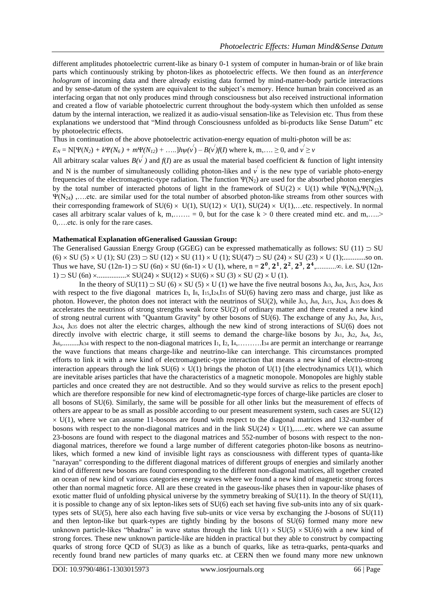different amplitudes photoelectric current-like as binary 0-1 system of computer in human-brain or of like brain parts which continuously striking by photon-likes as photoelectric effects. We then found as an *interference hologram* of incoming data and there already existing data formed by mind-matter-body particle interactions and by sense-datum of the system are equivalent to the subject's memory. Hence human brain conceived as an interfacing organ that not only produces mind through consciousness but also received instructional information and created a flow of variable photoelectric current throughout the body-system which then unfolded as sense datum by the internal interaction, we realized it as audio-visual sensation-like as Television etc. Thus from these explanations we understood that "Mind through Consciousness unfolded as bi-products like Sense Datum" etc by photoelectric effects.

Thus in continuation of the above photoelectric activation-energy equation of multi-photon will be as:

 $E_N = N[\Psi(N_2) + k\Psi(N_6) + m\Psi(N_{12}) + \dots]h\psi(\nu') - B(\nu')f(I)$  where k, m,....  $\geq 0$ , and  $\nu' \geq \nu$ 

All arbitrary scalar values  $B(v^{'})$  and  $f(I)$  are as usual the material based coefficient & function of light intensity

and N is the number of simultaneously colliding photon-likes and  $v'$  is the new type of variable photo-energy frequencies of the electromagnetic-type radiation. The function  $\Psi(N_2)$  are used for the absorbed photon energies by the total number of interacted photons of light in the framework of  $SU(2) \times U(1)$  while  $\Psi(N_6)$ , $\Psi(N_1)$ ,  $\Psi(N_{24})$ ,....etc. are similar used for the total number of absorbed photon-like streams from other sources with their corresponding framework of  $SU(6) \times U(1)$ ,  $SU(12) \times U(1)$ ,  $SU(24) \times U(1)$ , ...etc. respectively. In normal cases all arbitrary scalar values of k, m,……. = 0, but for the case  $k > 0$  there created mind etc. and m,…..> 0,….etc. is only for the rare cases.

## **Mathematical Explanation ofGeneralised Gaussian Group:**

The Generalised Gaussian Energy Group (GGEG) can be expressed mathematically as follows: SU (11)  $\supset$  SU (6) SU (5) U (1); SU (23) SU (12) SU (11) U (1); SU(47) SU (24) SU (23) U (1);............so on. Thus we have, SU (12n-1) SU (6n) SU (6n-1) U (1), where, n = , , , , ,...........∞. i.e. SU (12n-1)  $\supset$  SU (6n)  $\times$ ............... $\times$  SU(24)  $\times$  SU(12)  $\times$  SU(6)  $\times$  SU(3)  $\times$  SU(2)  $\times$  U(1).

In the theory of  $SU(11) \supset SU(6) \times SU(5) \times U(1)$  we have the five neutral bosons Jk3, Jk8, Jk15, Jk24, Jk35 with respect to the five diagonal matrices I<sub>3</sub>, I<sub>8</sub>, I<sub>15</sub>, I<sub>24</sub>, I<sub>35</sub> of SU(6) having zero mass and charge, just like as photon. However, the photon does not interact with the neutrinos of  $SU(2)$ , while Jk3, Jk8, Jk15, Jk24, Jk35 does & accelerates the neutrinos of strong strengths weak force SU(2) of ordinary matter and there created a new kind of strong neutral current with "Quantum Gravity" by other bosons of SU(6). The exchange of any Jk3, Jk8, Jk15, Jk24, Jk35 does not alter the electric charges, although the new kind of strong interactions of SU(6) does not directly involve with electric charge, it still seems to demand the charge-like bosons by Jk1, Jk2, Jk4, Jk5, Jk6,.........Jk34 with respect to the non-diagonal matrices I1, I2, I4,……….I<sup>34</sup> are permit an interchange or rearrange the wave functions that means charge-like and neutrino-like can interchange. This circumstances prompted efforts to link it with a new kind of electromagnetic-type interaction that means a new kind of electro-strong interaction appears through the link  $SU(6) \times U(1)$  brings the photon of  $U(1)$  [the electrodynamics  $U(1)$ , which are inevitable arises particles that have the characteristics of a magnetic monopole. Monopoles are highly stable particles and once created they are not destructible. And so they would survive as relics to the present epoch] which are therefore responsible for new kind of electromagnetic-type forces of charge-like particles are closer to all bosons of SU(6). Similarly, the same will be possible for all other links but the measurement of effects of others are appear to be as small as possible according to our present measurement system, such cases are SU(12)  $\times$  U(1), where we can assume 11-bosons are found with respect to the diagonal matrices and 132-number of bosons with respect to the non-diagonal matrices and in the link  $SU(24) \times U(1)$ ,......etc. where we can assume 23-bosons are found with respect to the diagonal matrices and 552-number of bosons with respect to the nondiagonal matrices, therefore we found a large number of different categories photon-like bosons as neutrinolikes, which formed a new kind of invisible light rays as consciousness with different types of quanta-like "narayan" corresponding to the different diagonal matrices of different groups of energies and similarly another kind of different new bosons are found corresponding to the different non-diagonal matrices, all together created an ocean of new kind of various categories energy waves where we found a new kind of magnetic strong forces other than normal magnetic force. All are these created in the gaseous-like phases then in vapour-like phases of exotic matter fluid of unfolding physical universe by the symmetry breaking of SU(11). In the theory of SU(11), it is possible to change any of six lepton-likes sets of SU(6) each set having five sub-units into any of six quarktypes sets of SU(5), here also each having five sub-units or vice versa by exchanging the J-bosons of SU(11) and then lepton-like but quark-types are tightly binding by the bosons of SU(6) formed many more new unknown particle-likes "bhadras" in wave status through the link  $U(1) \times SU(5) \times SU(6)$  with a new kind of strong forces. These new unknown particle-like are hidden in practical but they able to construct by compacting quarks of strong force QCD of SU(3) as like as a bunch of quarks, like as tetra-quarks, penta-quarks and recently found brand new particles of many quarks etc. at CERN then we found many more new unknown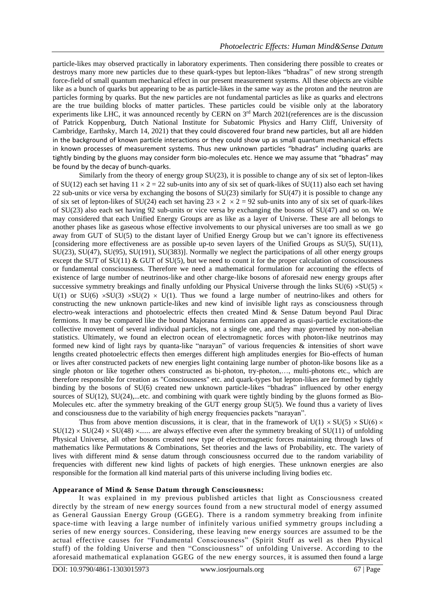particle-likes may observed practically in laboratory experiments. Then considering there possible to creates or destroys many more new particles due to these quark-types but lepton-likes "bhadras" of new strong strength force-field of small quantum mechanical effect in our present measurement systems. All these objects are visible like as a bunch of quarks but appearing to be as particle-likes in the same way as the proton and the neutron are particles forming by quarks. But the new particles are not fundamental particles as like as quarks and electrons are the true building blocks of matter particles. These particles could be visible only at the laboratory experiments like LHC, it was announced recently by CERN on 3<sup>rd</sup> March 2021(references are is the discussion of Patrick Koppenburg, Dutch National Institute for Subatomic Physics and Harry Cliff, University of Cambridge, Earthsky, March 14, 2021) that they could discovered four brand new particles, but all are hidden in the background of known particle interactions or they could show up as small quantum mechanical effects in known processes of measurement systems. Thus new unknown particles "bhadras" including quarks are tightly binding by the gluons may consider form bio-molecules etc. Hence we may assume that "bhadras" may be found by the decay of bunch-quarks.

Similarly from the theory of energy group SU(23), it is possible to change any of six set of lepton-likes of SU(12) each set having  $11 \times 2 = 22$  sub-units into any of six set of quark-likes of SU(11) also each set having 22 sub-units or vice versa by exchanging the bosons of SU(23) similarly for SU(47) it is possible to change any of six set of lepton-likes of SU(24) each set having  $23 \times 2 \times 2 = 92$  sub-units into any of six set of quark-likes of SU(23) also each set having 92 sub-units or vice versa by exchanging the bosons of SU(47) and so on. We may considered that each Unified Energy Groups are as like as a layer of Universe. These are all belongs to another phases like as gaseous whose effective involvements to our physical universes are too small as we go away from GUT of SU(5) to the distant layer of Unified Energy Group but we can't ignore its effectiveness [considering more effectiveness are as possible up-to seven layers of the Unified Groups as SU(5), SU(11), SU(23), SU(47), SU(95), SU(191), SU(383)]. Normally we neglect the participations of all other energy groups except the SUT of SU(11)  $& GUT$  of SU(5), but we need to count it for the proper calculation of consciousness or fundamental consciousness. Therefore we need a mathematical formulation for accounting the effects of existence of large number of neutrinos-like and other charge-like bosons of aforesaid new energy groups after successive symmetry breakings and finally unfolding our Physical Universe through the links  $SU(6) \times SU(5) \times$ U(1) or SU(6)  $\times$ SU(3)  $\times$ SU(2)  $\times$  U(1). Thus we found a large number of neutrino-likes and others for constructing the new unknown particle-likes and new kind of invisible light rays as consciousness through electro-weak interactions and photoelectric effects then created Mind & Sense Datum beyond Paul Dirac fermions. It may be compared like the bound Majorana fermions can appeared as quasi-particle excitations-the collective movement of several individual particles, not a single one, and they may governed by non-abelian statistics. Ultimately, we found an electron ocean of electromagnetic forces with photon-like neutrinos may formed new kind of light rays by quanta-like "narayan" of various frequencies & intensities of short wave lengths created photoelectric effects then emerges different high amplitudes energies for Bio-effects of human or lives after constructed packets of new energies light containing large number of photon-like bosons like as a single photon or like together others constructed as bi-photon, try-photon,…, multi-photons etc., which are therefore responsible for creation as "Consciousness" etc. and quark-types but lepton-likes are formed by tightly binding by the bosons of SU(6) created new unknown particle-likes "bhadras" influenced by other energy sources of SU(12), SU(24),...etc. and combining with quark were tightly binding by the gluons formed as Bio-Molecules etc. after the symmetry breaking of the GUT energy group SU(5). We found thus a variety of lives and consciousness due to the variability of high energy frequencies packets "narayan".

Thus from above mention discussions, it is clear, that in the framework of U(1)  $\times$  SU(5)  $\times$  SU(6)  $\times$  $SU(12) \times SU(24) \times SU(48) \times$ ...... are always effective even after the symmetry breaking of  $SU(11)$  of unfolding Physical Universe, all other bosons created new type of electromagnetic forces maintaining through laws of mathematics like Permutations & Combinations, Set theories and the laws of Probability, etc. The variety of lives with different mind & sense datum through consciousness occurred due to the random variability of frequencies with different new kind lights of packets of high energies. These unknown energies are also responsible for the formation all kind material parts of this universe including living bodies etc.

### **Appearance of Mind & Sense Datum through Consciousness:**

It was explained in my previous published articles that light as Consciousness created directly by the stream of new energy sources found from a new structural model of energy assumed as General Gaussian Energy Group (GGEG). There is a random symmetry breaking from infinite space-time with leaving a large number of infinitely various unified symmetry groups including a series of new energy sources. Considering, these leaving new energy sources are assumed to be the actual effective causes for "Fundamental Consciousness" (Spirit Stuff as well as then Physical stuff) of the folding Universe and then "Consciousness" of unfolding Universe. According to the aforesaid mathematical explanation GGEG of the new energy sources, it is assumed then found a large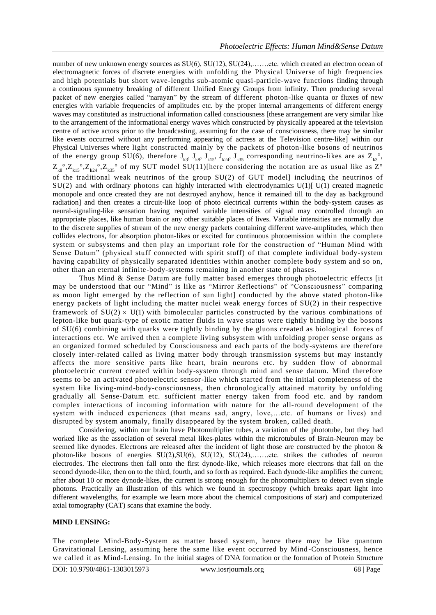number of new unknown energy sources as  $SU(6)$ ,  $SU(12)$ ,  $SU(24)$ , .......etc. which created an electron ocean of electromagnetic forces of discrete energies with unfolding the Physical Universe of high frequencies and high potentials but short wave-lengths sub-atomic quasi-particle-wave functions finding through a continuous symmetry breaking of different Unified Energy Groups from infinity. Then producing several packet of new energies called "narayan" by the stream of different photon-like quanta or fluxes of new energies with variable frequencies of amplitudes etc. by the proper internal arrangements of different energy waves may constituted as instructional information called consciousness [these arrangement are very similar like to the arrangement of the informational energy waves which constructed by physically appeared at the television centre of active actors prior to the broadcasting, assuming for the case of consciousness, there may be similar like events occurred without any performing appearing of actress at the Television centre-like] within our Physical Universes where light constructed mainly by the packets of photon-like bosons of neutrinos of the energy group SU(6), therefore  $J_{k3}$ ,  $J_{k8}$ ,  $J_{k15}$ ,  $J_{k24}$ ,  $J_{k35}$  corresponding neutrino-likes are as  $Z_{k3}^{\circ}$ ,  $Z_{k8}^{\circ}$ , $Z_{k15}^{\circ}$ , $Z_{k24}^{\circ}$ , $Z_{k35}^{\circ}$  of my SUT model SU(11)[here considering the notation are as usual like as  $Z^{\circ}$ of the traditional weak neutrinos of the group SU(2) of GUT model] including the neutrinos of  $SU(2)$  and with ordinary photons can highly interacted with electrodynamics  $U(1)[U(1)]$  created magnetic monopole and once created they are not destroyed anyhow, hence it remained till to the day as background radiation] and then creates a circuit-like loop of photo electrical currents within the body-system causes as neural-signaling-like sensation having required variable intensities of signal may controlled through an appropriate places, like human brain or any other suitable places of lives. Variable intensities are normally due to the discrete supplies of stream of the new energy packets containing different wave-amplitudes, which then collides electrons, for absorption photon-likes or excited for continuous photoemission within the complete system or subsystems and then play an important role for the construction of "Human Mind with Sense Datum" (physical stuff connected with spirit stuff) of that complete individual body-system having capability of physically separated identities within another complete body system and so on, other than an eternal infinite-body-systems remaining in another state of phases.

Thus Mind & Sense Datum are fully matter based emerges through photoelectric effects [it may be understood that our "Mind" is like as "Mirror Reflections" of "Consciousness" comparing as moon light emerged by the reflection of sun light] conducted by the above stated photon-like energy packets of light including the matter nuclei weak energy forces of SU(2) in their respective framework of  $SU(2) \times U(1)$  with bimolecular particles constructed by the various combinations of lepton-like but quark-type of exotic matter fluids in wave status were tightly binding by the bosons of SU(6) combining with quarks were tightly binding by the gluons created as biological forces of interactions etc. We arrived then a complete living subsystem with unfolding proper sense organs as an organized formed scheduled by Consciousness and each parts of the body-systems are therefore closely inter-related called as living matter body through transmission systems but may instantly affects the more sensitive parts like heart, brain neurons etc. by sudden flow of abnormal photoelectric current created within body-system through mind and sense datum. Mind therefore seems to be an activated photoelectric sensor-like which started from the initial completeness of the system like living-mind-body-consciousness, then chronologically attained maturity by unfolding gradually all Sense-Datum etc. sufficient matter energy taken from food etc. and by random complex interactions of incoming information with nature for the all-round development of the system with induced experiences (that means sad, angry, love,…etc. of humans or lives) and disrupted by system anomaly, finally disappeared by the system broken, called death.

Considering, within our brain have Photomultiplier tubes, a variation of the phototube, but they had worked like as the association of several metal likes-plates within the microtubules of Brain-Neuron may be seemed like dynodes. Electrons are released after the incident of light those are constructed by the photon & photon-like bosons of energies SU(2),SU(6), SU(12), SU(24),…….etc. strikes the cathodes of neuron electrodes. The electrons then fall onto the first dynode-like, which releases more electrons that fall on the second dynode-like, then on to the third, fourth, and so forth as required. Each dynode-like amplifies the current; after about 10 or more dynode-likes, the current is strong enough for the photomultipliers to detect even single photons. Practically an illustration of this which we found in spectroscopy (which breaks apart light into different wavelengths, for example we learn more about the chemical compositions of star) and computerized axial tomography (CAT) scans that examine the body.

### **MIND LENSING:**

The complete Mind-Body-System as matter based system, hence there may be like quantum Gravitational Lensing, assuming here the same like event occurred by Mind -Consciousness, hence we called it as Mind-Lensing. In the initial stages of DNA formation or the formation of Protein Structure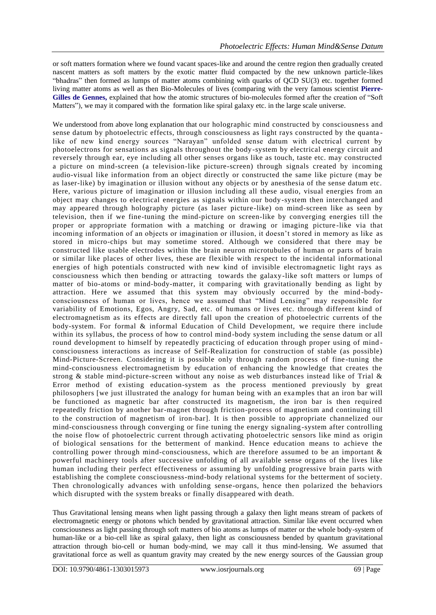or soft matters formation where we found vacant spaces-like and around the centre region then gradually created nascent matters as soft matters by the exotic matter fluid compacted by the new unknown particle-likes "bhadras" then formed as lumps of matter atoms combining with quarks of QCD SU(3) etc. together formed living matter atoms as well as then Bio-Molecules of lives (comparing with the very famous scientist **Pierre-Gilles de Gennes,** explained that how the atomic structures of bio-molecules formed after the creation of "Soft Matters"), we may it compared with the formation like spiral galaxy etc. in the large scale universe.

We understood from above long explanation that our holographic mind constructed by consciousness and sense datum by photoelectric effects, through consciousness as light rays constructed by the quanta like of new kind energy sources "Narayan" unfolded sense datum with electrical current by photoelectrons for sensations as signals throughout the body-system by electrical energy circuit and reversely through ear, eye including all other senses organs like as touch, taste etc. may constructed a picture on mind-screen (a television-like picture-screen) through signals created by incoming audio-visual like information from an object directly or constructed the same like picture (may be as laser-like) by imagination or illusion without any objects or by anesthesia of the sense datum etc. Here, various picture of imagination or illusion including all these audio, visual energies from an object may changes to electrical energies as signals within our body -system then interchanged and may appeared through holography picture (as laser picture -like) on mind-screen like as seen by television, then if we fine-tuning the mind-picture on screen-like by converging energies till the proper or appropriate formation with a matching or drawing or imaging picture -like via that incoming information of an objects or imagination or illusion, it doesn't stored in memory as like as stored in micro-chips but may sometime stored. Although we considered that there may be constructed like usable electrodes within the brain neuron microtubules of human or parts of brain or similar like places of other lives, these are flexible with re spect to the incidental informational energies of high potentials constructed with new kind of invisible electromagnetic light rays as consciousness which then bending or attracting towards the galaxy -like soft matters or lumps of matter of bio-atoms or mind-body-matter, it comparing with gravitationally bending as light by attraction. Here we assumed that this system may obviously occurred by the mind -bodyconsciousness of human or lives, hence we assumed that "Mind Lensing" may responsible for variability of Emotions, Egos, Angry, Sad, etc. of humans or lives etc. through different kind of electromagnetism as its effects are directly fall upon the creation of photoelectric currents of the body-system. For formal & informal Education of Child Development, we require there include within its syllabus, the process of how to control mind-body system including the sense datum or all round development to himself by repeatedly practicing of education through proper using of mind consciousness interactions as increase of Self-Realization for construction of stable (as possible) Mind-Picture-Screen. Considering it is possible only through random process of fine -tuning the mind-consciousness electromagnetism by education of enhancing the knowledge that creates the strong & stable mind-picture-screen without any noise as web disturbances instead like of Trial & Error method of existing education-system as the process mentioned previously by great philosophers [we just illustrated the analogy for human being with an examples that an iron bar will be functioned as magnetic bar after constructed its magnetism, the iron bar is then required repeatedly friction by another bar-magnet through friction-process of magnetism and continuing till to the construction of magnetism of iron-bar]. It is then possible to appropriate channelized our mind-consciousness through converging or fine tuning the energy signaling -system after controlling the noise flow of photoelectric current through activating photoelectric sensors like mind as origin of biological sensations for the betterment of mankind. Hence education means to achieve the controlling power through mind-consciousness, which are therefore assumed to be an important & powerful machinery tools after successive unfolding of all available sense organs of the lives like human including their perfect effectiveness or assuming by unfolding progressive brain parts with establishing the complete consciousness-mind-body relational systems for the betterment of society. Then chronologically advances with unfolding sense-organs, hence then polarized the behaviors which disrupted with the system breaks or finally disappeared with death.

Thus Gravitational lensing means when light passing through a galaxy then light means stream of packets of electromagnetic energy or photons which bended by gravitational attraction. Similar like event occurred when consciousness as light passing through soft matters of bio atoms as lumps of matter or the whole body-system of human-like or a bio-cell like as spiral galaxy, then light as consciousness bended by quantum gravitational attraction through bio-cell or human body-mind, we may call it thus mind-lensing. We assumed that gravitational force as well as quantum gravity may created by the new energy sources of the Gaussian group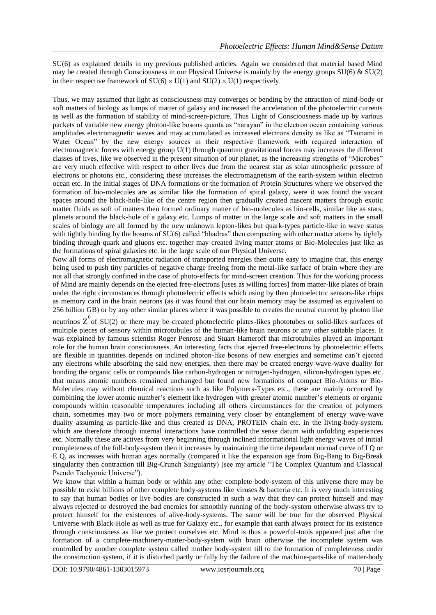SU(6) as explained details in my previous published articles. Again we considered that material based Mind may be created through Consciousness in our Physical Universe is mainly by the energy groups  $SU(6)$  &  $SU(2)$ in their respective framework of  $SU(6) \times U(1)$  and  $SU(2) \times U(1)$  respectively.

Thus, we may assumed that light as consciousness may converges or bending by the attraction of mind-body or soft matters of biology as lumps of matter of galaxy and increased the acceleration of the photoelectric currents as well as the formation of stability of mind-screen-picture. Thus Light of Consciousness made up by various packets of variable new energy photon-like bosons quanta as "narayan" in the electron ocean containing various amplitudes electromagnetic waves and may accumulated as increased electrons density as like as "Tsunami in Water Ocean" by the new energy sources in their respective framework with required interaction of electromagnetic forces with energy group  $U(1)$  through quantum gravitational forces may increases the different classes of lives, like we observed in the present situation of our planet, as the increasing strengths of "Microbes" are very much effective with respect to other lives due from the nearest star as solar atmospheric pressure of electrons or photons etc., considering these increases the electromagnetism of the earth-system within electron ocean etc. In the initial stages of DNA formations or the formation of Protein Structures where we observed the formation of bio-molecules are as similar like the formation of spiral galaxy, were it was found the vacant spaces around the black-hole-like of the centre region then gradually created nascent matters through exotic matter fluids as soft of matters then formed ordinary matter of bio-molecules as bio-cells, similar like as stars, planets around the black-hole of a galaxy etc. Lumps of matter in the large scale and soft matters in the small scales of biology are all formed by the new unknown lepton-likes but quark-types particle-like in wave status with tightly binding by the bosons of SU(6) called "bhadras" then compacting with other matter atoms by tightly binding through quark and gluons etc. together may created living matter atoms or Bio-Molecules just like as the formations of spiral galaxies etc. in the large scale of our Physical Universe.

Now all forms of electromagnetic radiation of transported energies then quite easy to imagine that, this energy being used to push tiny particles of negative charge freeing from the metal-like surface of brain where they are not all that strongly confined in the case of photo-effects for mind-screen creation. Thus for the working process of Mind are mainly depends on the ejected free-electrons [uses as willing forces] from matter-like plates of brain under the right circumstances through photoelectric effects which using by then photoelectric sensors-like chips as memory card in the brain neurons (as it was found that our brain memory may be assumed as equivalent to 256 billion GB) or by any other similar places where it was possible to creates the neutral current by photon like

neutrinos  $Z^0$  of SU(2) or there may be created photoelectric plates-likes phototubes or solid-likes surfaces of multiple pieces of sensory within microtubules of the human-like brain neurons or any other suitable places. It was explained by famous scientist Roger Penrose and Stuart Hameroff that microtubules played an important role for the human brain consciousness. An interesting facts that ejected free-electrons by photoelectric effects are flexible in quantities depends on inclined photon-like bosons of new energies and sometime can't ejected any electrons while absorbing the said new energies, then there may be created energy wave-wave duality for bonding the organic cells or compounds like carbon-hydrogen or nitrogen-hydrogen, silicon-hydrogen types etc. that means atomic numbers remained unchanged but found new formations of compact Bio-Atoms or Bio-Molecules may without chemical reactions such as like Polymers-Types etc., these are mainly occurred by combining the lower atomic number's element like hydrogen with greater atomic number's elements or organic compounds within reasonable temperatures including all others circumstances for the creation of polymers chain, sometimes may two or more polymers remaining very closer by entanglement of energy wave-wave duality assuming as particle-like and thus created as DNA, PROTEIN chain etc. in the living-body-system, which are therefore through internal interactions have controlled the sense datum with unfolding experiences etc. Normally these are actives from very beginning through inclined informational light energy waves of initial completeness of the full-body-system then it increases by maintaining the time dependant normal curve of I Q or E Q, as increases with human ages normally (compared it like the expansion age from Big-Bang to Big-Break singularity then contraction till Big-Crunch Singularity) [see my article "The Complex Quantum and Classical Pseudo Tachyonic Universe").

We know that within a human body or within any other complete body-system of this universe there may be possible to exist billions of other complete body-systems like viruses & bacteria etc. It is very much interesting to say that human bodies or live bodies are constructed in such a way that they can protect himself and may always rejected or destroyed the bad enemies for smoothly running of the body-system otherwise always try to protect himself for the existences of alive-body-systems. The same will be true for the observed Physical Universe with Black-Hole as well as true for Galaxy etc., for example that earth always protect for its existence through consciousness as like we protect ourselves etc. Mind is thus a powerful-tools appeared just after the formation of a complete-machinery-matter-body-system with brain otherwise the incomplete system was controlled by another complete system called mother body-system till to the formation of completeness under the construction system, if it is disturbed partly or fully by the failure of the machine-parts-like of matter-body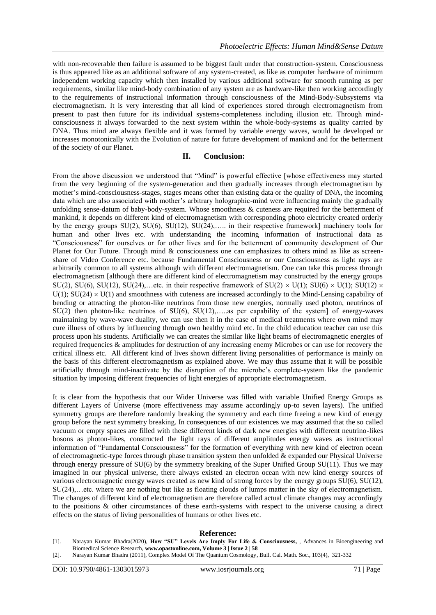with non-recoverable then failure is assumed to be biggest fault under that construction-system. Consciousness is thus appeared like as an additional software of any system-created, as like as computer hardware of minimum independent working capacity which then installed by various additional software for smooth running as per requirements, similar like mind-body combination of any system are as hardware-like then working accordingly to the requirements of instructional information through consciousness of the Mind-Body-Subsystems via electromagnetism. It is very interesting that all kind of experiences stored through electromagnetism from present to past then future for its individual systems-completeness including illusion etc. Through mindconsciousness it always forwarded to the next system within the whole-body-systems as quality carried by DNA. Thus mind are always flexible and it was formed by variable energy waves, would be developed or increases monotonically with the Evolution of nature for future development of mankind and for the betterment of the society of our Planet.

# **II. Conclusion:**

From the above discussion we understood that "Mind" is powerful effective [whose effectiveness may started from the very beginning of the system-generation and then gradually increases through electromagnetism by mother's mind-consciousness-stages, stages means other than existing data or the quality of DNA, the incoming data which are also associated with mother's arbitrary holographic-mind were influencing mainly the gradually unfolding sense-datum of baby-body-system. Whose smoothness  $\&$  cuteness are required for the betterment of mankind, it depends on different kind of electromagnetism with corresponding photo electricity created orderly by the energy groups SU(2), SU(6), SU(12), SU(24),….. in their respective framework] machinery tools for human and other lives etc. with understanding the incoming information of instructional data as "Consciousness" for ourselves or for other lives and for the betterment of community development of Our Planet for Our Future. Through mind & consciousness one can emphasizes to others mind as like as screenshare of Video Conference etc. because Fundamental Consciousness or our Consciousness as light rays are arbitrarily common to all systems although with different electromagnetism. One can take this process through electromagnetism [although there are different kind of electromagnetism may constructed by the energy groups SU(2), SU(6), SU(12), SU(24),...etc. in their respective framework of SU(2)  $\times$  U(1); SU(6)  $\times$  U(1); SU(12)  $\times$  $U(1)$ ;  $SU(24) \times U(1)$  and smoothness with cuteness are increased accordingly to the Mind-Lensing capability of bending or attracting the photon-like neutrinos from those new energies, normally used photon, neutrinos of  $SU(2)$  then photon-like neutrinos of  $SU(6)$ ,  $SU(12)$ , ... as per capability of the system] of energy-waves maintaining by wave-wave duality, we can use then it in the case of medical treatments where own mind may cure illness of others by influencing through own healthy mind etc. In the child education teacher can use this process upon his students. Artificially we can creates the similar like light beams of electromagnetic energies of required frequencies & amplitudes for destruction of any increasing enemy Microbes or can use for recovery the critical illness etc. All different kind of lives shown different living personalities of performance is mainly on the basis of this different electromagnetism as explained above. We may thus assume that it will be possible artificially through mind-inactivate by the disruption of the microbe's complete-system like the pandemic situation by imposing different frequencies of light energies of appropriate electromagnetism.

It is clear from the hypothesis that our Wider Universe was filled with variable Unified Energy Groups as different Layers of Universe (more effectiveness may assume accordingly up-to seven layers). The unified symmetry groups are therefore randomly breaking the symmetry and each time freeing a new kind of energy group before the next symmetry breaking. In consequences of our existences we may assumed that the so called vacuum or empty spaces are filled with these different kinds of dark new energies with different neutrino-likes bosons as photon-likes, constructed the light rays of different amplitudes energy waves as instructional information of "Fundamental Consciousness" for the formation of everything with new kind of electron ocean of electromagnetic-type forces through phase transition system then unfolded  $\&$  expanded our Physical Universe through energy pressure of  $SU(6)$  by the symmetry breaking of the Super Unified Group  $SU(11)$ . Thus we may imagined in our physical universe, there always existed an electron ocean with new kind energy sources of various electromagnetic energy waves created as new kind of strong forces by the energy groups SU(6), SU(12), SU(24),…etc. where we are nothing but like as floating clouds of lumps matter in the sky of electromagnetism. The changes of different kind of electromagnetism are therefore called actual climate changes may accordingly to the positions & other circumstances of these earth-systems with respect to the universe causing a direct effects on the status of living personalities of humans or other lives etc.

## **Reference:**

- [1]. Narayan Kumar Bhadra(2020), **How "SU" Levels Are Imply For Life & Consciousness,** , Advances in Bioengineering and Biomedical Science Research, **www.opastonline.com, Volume 3 | Issue 2 | 58**
- [2]. Narayan Kumar Bhadra (2011), Complex Model Of The Quantum Cosmology, Bull. Cal. Math. Soc., 103(4), 321-332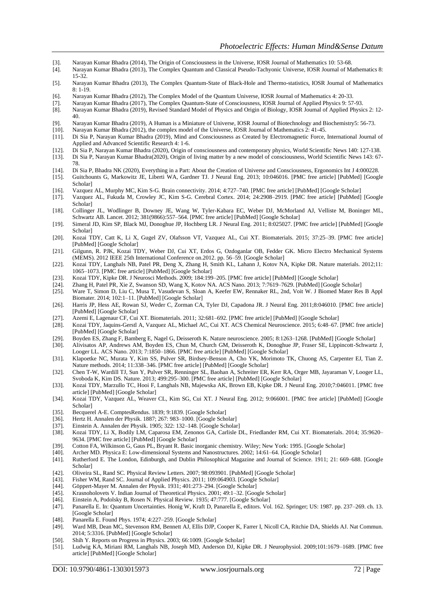- [3]. Narayan Kumar Bhadra (2014), The Origin of Consciousness in the Universe, IOSR Journal of Mathematics 10: 53-68.
- [4]. Narayan Kumar Bhadra (2013), The Complex Quantum and Classical Pseudo-Tachyonic Universe, IOSR Journal of Mathematics 8: 15-32.
- [5]. Narayan Kumar Bhadra (2013), The Complex Quantum-State of Black-Hole and Thermo-statistics, IOSR Journal of Mathematics  $8: 1-19$ .
- [6]. Narayan Kumar Bhadra (2012), The Complex Model of the Quantum Universe, IOSR Journal of Mathematics 4: 20-33.
- [7]. Narayan Kumar Bhadra (2017), The Complex Quantum-State of Consciousness, IOSR Journal of Applied Physics 9: 57-93.
- [8]. Narayan Kumar Bhadra (2019), Revised Standard Model of Physics and Origin of Biology, IOSR Journal of Applied Physics 2: 12- 40.
- [9]. Narayan Kumar Bhadra (2019), A Human is a Miniature of Universe, IOSR Journal of Biotechnology and Biochemistry5: 56-73.<br>[10]. Narayan Kumar Bhadra (2012), the complex model of the Universe, IOSR Journal of Mathematic
- Narayan Kumar Bhadra (2012), the complex model of the Universe, IOSR Journal of Mathematics 2: 41-45.
- [11]. Di Sia P, Narayan Kumar Bhadra (2019), Mind and Consciousness as Created by Electromagnetic Force, International Journal of Applied and Advanced Scientific Research 4: 1-6.
- [12]. Di Sia P, Narayan Kumar Bhadra (2020), Origin of consciousness and contemporary physics, World Scientific News 140: 127-138. [13]. Di Sia P, Narayan Kumar Bhadra(2020), Origin of living matter by a new model of consciousness, World Scientific News 143: 67- 78.
- [14]. Di Sia P, Bhadra NK (2020), Everything in a Part: About the Creation of Universe and Consciousness, Ergonomics Int J 4:000228.
- [15]. Guitchounts G, Markowitz JE, Liberti WA, Gardner TJ. J Neural Eng. 2013; 10:046016. [\[PMC free article\]](https://www.ncbi.nlm.nih.gov/pmc/articles/PMC3875136/) [\[PubMed\]](https://www.ncbi.nlm.nih.gov/pubmed/23860226) [\[Google](https://scholar.google.com/scholar_lookup?journal=J+Neural+Eng&author=G+Guitchounts&author=JE+Markowitz&author=WA+Liberti&author=TJ+Gardner&volume=10&publication_year=2013&pages=046016&pmid=23860226&)  [Scholar\]](https://scholar.google.com/scholar_lookup?journal=J+Neural+Eng&author=G+Guitchounts&author=JE+Markowitz&author=WA+Liberti&author=TJ+Gardner&volume=10&publication_year=2013&pages=046016&pmid=23860226&)
- [16]. Vazquez AL, Murphy MC, Kim S-G. Brain connectivity. 2014; 4:727–740. [\[PMC free article\]](https://www.ncbi.nlm.nih.gov/pmc/articles/PMC4238243/) [\[PubMed\]](https://www.ncbi.nlm.nih.gov/pubmed/25300278) [\[Google Scholar\]](https://scholar.google.com/scholar_lookup?journal=Brain+connectivity&author=AL+Vazquez&author=MC+Murphy&author=S-G+Kim&volume=4&publication_year=2014&pages=727-740&pmid=25300278&)
- [17]. Vazquez AL, Fukuda M, Crowley JC, Kim S-G. Cerebral Cortex. 2014; 24:2908–2919. [\[PMC free article\]](https://www.ncbi.nlm.nih.gov/pmc/articles/PMC4193461/) [\[PubMed\]](https://www.ncbi.nlm.nih.gov/pubmed/23761666) [\[Google](https://scholar.google.com/scholar_lookup?journal=Cerebral+Cortex&author=AL+Vazquez&author=M+Fukuda&author=JC+Crowley&author=S-G+Kim&volume=24&publication_year=2014&pages=2908-2919&pmid=23761666&)  [Scholar\]](https://scholar.google.com/scholar_lookup?journal=Cerebral+Cortex&author=AL+Vazquez&author=M+Fukuda&author=JC+Crowley&author=S-G+Kim&volume=24&publication_year=2014&pages=2908-2919&pmid=23761666&)
- [18]. Collinger JL, Wodlinger B, Downey JE, Wang W, Tyler-Kabara EC, Weber DJ, McMorland AJ, Velliste M, Boninger ML, Schwartz AB. Lancet. 2012; 381(9866):557–564. [\[PMC free article\]](https://www.ncbi.nlm.nih.gov/pmc/articles/PMC3641862/) [\[PubMed\]](https://www.ncbi.nlm.nih.gov/pubmed/23253623) [\[Google Scholar\]](https://scholar.google.com/scholar_lookup?journal=Lancet&author=JL+Collinger&author=B+Wodlinger&author=JE+Downey&author=W+Wang&author=EC+Tyler-Kabara&volume=381&issue=9866&publication_year=2012&pages=557-564&pmid=23253623&)
- [19]. Simeral JD, Kim SP, Black MJ, Donoghue JP, Hochberg LR. J Neural Eng. 2011; 8:025027. [\[PMC free article\]](https://www.ncbi.nlm.nih.gov/pmc/articles/PMC3715131/) [\[PubMed\]](https://www.ncbi.nlm.nih.gov/pubmed/21436513) [\[Google](https://scholar.google.com/scholar_lookup?journal=J+Neural+Eng&author=JD+Simeral&author=SP+Kim&author=MJ+Black&author=JP+Donoghue&author=LR+Hochberg&volume=8&publication_year=2011&pages=025027&pmid=21436513&)  [Scholar\]](https://scholar.google.com/scholar_lookup?journal=J+Neural+Eng&author=JD+Simeral&author=SP+Kim&author=MJ+Black&author=JP+Donoghue&author=LR+Hochberg&volume=8&publication_year=2011&pages=025027&pmid=21436513&)
- [20]. Kozai TDY, Catt K, Li X, Gugel ZV, Olafsson VT, Vazquez AL, Cui XT. Biomaterials. 2015; 37:25–39. [\[PMC free article\]](https://www.ncbi.nlm.nih.gov/pmc/articles/PMC4312222/) [\[PubMed\]](https://www.ncbi.nlm.nih.gov/pubmed/25453935) [\[Google Scholar\]](https://scholar.google.com/scholar_lookup?journal=Biomaterials&author=TDY+Kozai&author=K+Catt&author=X+Li&author=ZV+Gugel&author=VT+Olafsson&volume=37&publication_year=2015&pages=25-39&pmid=25453935&)
- [21]. Gilgunn, R. PJK, Kozai TDY, Weber DJ, Cui XT, Erdos G, Ozdoganlar OB, Fedder GK. Micro Electro Mechanical Systems (MEMS). 2012 IEEE 25th International Conference on.2012. pp. 56–59. [\[Google Scholar\]](https://scholar.google.com/scholar?q=Gilgunn,+R.+PJK+Kozai+TDY+Weber+DJ+Cui+XT+Erdos+G+Ozdoganlar+OB+Fedder+GK+Micro+Electro+Mechanical+Systems+%28MEMS%29+2012+2012+56+59+2012+IEEE+25th+International+Conference+on+)
- [22]. Kozai TDY, Langhals NB, Patel PR, Deng X, Zhang H, Smith KL, Lahann J, Kotov NA, Kipke DR. Nature materials. 2012;11: 1065–1073. [\[PMC free article\]](https://www.ncbi.nlm.nih.gov/pmc/articles/PMC3524530/) [\[PubMed\]](https://www.ncbi.nlm.nih.gov/pubmed/23142839) [\[Google Scholar\]](https://scholar.google.com/scholar_lookup?journal=Nature+materials&author=TDY+Kozai&author=NB+Langhals&author=PR+Patel&author=X+Deng&author=H+Zhang&volume=11&publication_year=2012&pages=1065-1073&)
- [23]. Kozai TDY, Kipke DR. J Neurosci Methods. 2009; 184:199-205. [\[PMC free article\]](https://www.ncbi.nlm.nih.gov/pmc/articles/PMC3165009/) [\[PubMed\]](https://www.ncbi.nlm.nih.gov/pubmed/19666051) [\[Google Scholar\]](https://scholar.google.com/scholar_lookup?journal=J+Neurosci+Methods&author=TDY+Kozai&author=DR+Kipke&volume=184&publication_year=2009&pages=199-205&pmid=19666051&) [24]. Zhang H, Patel PR, Xie Z, Swanson SD, Wang X, Kotov NA. ACS Nano. 2013; 7:7619-7629. [PubMed] [Google
- [24]. Zhang H, Patel PR, Xie Z, Swanson SD, Wang X, Kotov NA. ACS Nano. 2013; 7:7619–7629. [\[PubMed\]](https://www.ncbi.nlm.nih.gov/pubmed/23930825) [\[Google Scholar\]](https://scholar.google.com/scholar_lookup?journal=ACS+Nano&author=H+Zhang&author=PR+Patel&author=Z+Xie&author=SD+Swanson&author=X+Wang&volume=7&publication_year=2013&pages=7619-7629&pmid=23930825&)
- [25]. Ware T, Simon D, Liu C, Musa T, Vasudevan S, Sloan A, Keefer EW, Rennaker RL, 2nd, Voit W. J Biomed Mater Res B Appl Biomater. 2014; 102:1–11. [\[PubMed\]](https://www.ncbi.nlm.nih.gov/pubmed/23666562) [\[Google Scholar\]](https://scholar.google.com/scholar_lookup?journal=J+Biomed+Mater+Res+B+Appl+Biomater&author=T+Ware&author=D+Simon&author=C+Liu&author=T+Musa&author=S+Vasudevan&volume=102&publication_year=2014&pages=1-11&pmid=23666562&)
- [26]. Harris JP, Hess AE, Rowan SJ, Weder C, Zorman CA, Tyler DJ, Capadona JR. J Neural Eng. 2011;8:046010. [\[PMC free article\]](https://www.ncbi.nlm.nih.gov/pmc/articles/PMC4134134/) [\[PubMed\]](https://www.ncbi.nlm.nih.gov/pubmed/21654037) [\[Google Scholar\]](https://scholar.google.com/scholar_lookup?journal=J+Neural+Eng&author=JP+Harris&author=AE+Hess&author=SJ+Rowan&author=C+Weder&author=CA+Zorman&volume=8&publication_year=2011&pages=046010&pmid=21654037&)
- [27]. Azemi E, Lagenaur CF, Cui XT. Biomaterials. 2011; 32:681–692. [\[PMC free article\]](https://www.ncbi.nlm.nih.gov/pmc/articles/PMC3394228/) [\[PubMed\]](https://www.ncbi.nlm.nih.gov/pubmed/20933270) [\[Google Scholar\]](https://scholar.google.com/scholar_lookup?journal=Biomaterials&author=E+Azemi&author=CF+Lagenaur&author=XT+Cui&volume=32&publication_year=2011&pages=681-692&pmid=20933270&)
- [28]. Kozai TDY, Jaquins-Gerstl A, Vazquez AL, Michael AC, Cui XT. ACS Chemical Neuroscience. 2015; 6:48–67. [\[PMC free article\]](https://www.ncbi.nlm.nih.gov/pmc/articles/PMC4304489/) [\[PubMed\]](https://www.ncbi.nlm.nih.gov/pubmed/25546652) [\[Google Scholar\]](https://scholar.google.com/scholar_lookup?journal=ACS+Chemical+Neuroscience&author=TDY+Kozai&author=A+Jaquins-Gerstl&author=AL+Vazquez&author=AC+Michael&author=XT+Cui&volume=6&publication_year=2015&pages=48-67&pmid=25546652&)
- [29]. Boyden ES, Zhang F, Bamberg E, Nagel G, Deisseroth K. Nature neuroscience. 2005; 8:1263–1268. [\[PubMed\]](https://www.ncbi.nlm.nih.gov/pubmed/16116447) [\[Google Scholar\]](https://scholar.google.com/scholar_lookup?journal=Nature+neuroscience&author=ES+Boyden&author=F+Zhang&author=E+Bamberg&author=G+Nagel&author=K+Deisseroth&volume=8&publication_year=2005&pages=1263-1268&)
- [30]. Alivisatos AP, Andrews AM, Boyden ES, Chun M, Church GM, Deisseroth K, Donoghue JP, Fraser SE, Lippincott-Schwartz J, Looger LL. ACS Nano. 2013; 7:1850–1866. [\[PMC free article\]](https://www.ncbi.nlm.nih.gov/pmc/articles/PMC3665747/) [\[PubMed\]](https://www.ncbi.nlm.nih.gov/pubmed/23514423) [\[Google Scholar\]](https://scholar.google.com/scholar_lookup?journal=ACS+Nano&author=AP+Alivisatos&author=AM+Andrews&author=ES+Boyden&author=M+Chun&author=GM+Church&volume=7&publication_year=2013&pages=1850-1866&pmid=23514423&)
- [31]. Klapoetke NC, Murata Y, Kim SS, Pulver SR, Birdsey-Benson A, Cho YK, Morimoto TK, Chuong AS, Carpenter EJ, Tian Z. Nature methods. 2014; 11:338–346. [\[PMC free article\]](https://www.ncbi.nlm.nih.gov/pmc/articles/PMC3943671/) [\[PubMed\]](https://www.ncbi.nlm.nih.gov/pubmed/24509633) [\[Google Scholar\]](https://scholar.google.com/scholar_lookup?journal=Nature+methods&author=NC+Klapoetke&author=Y+Murata&author=SS+Kim&author=SR+Pulver&author=A+Birdsey-Benson&volume=11&publication_year=2014&pages=338-346&pmid=24509633&)
- [32]. Chen T-W, Wardill TJ, Sun Y, Pulver SR, Renninger SL, Baohan A, Schreiter ER, Kerr RA, Orger MB, Jayaraman V, Looger LL, Svoboda K, Kim DS. Nature. 2013; 499:295–300. [\[PMC free article\]](https://www.ncbi.nlm.nih.gov/pmc/articles/PMC3777791/) [\[PubMed\]](https://www.ncbi.nlm.nih.gov/pubmed/23868258) [\[Google Scholar\]](https://scholar.google.com/scholar_lookup?journal=Nature&author=T-W+Chen&author=TJ+Wardill&author=Y+Sun&author=SR+Pulver&author=SL+Renninger&volume=499&publication_year=2013&pages=295-300&pmid=23868258&)
- [33]. Kozai TDY, Marzullo TC, Hooi F, Langhals NB, Majewska AK, Brown EB, Kipke DR. J Neural Eng. 2010;7:046011. [\[PMC free](https://www.ncbi.nlm.nih.gov/pmc/articles/PMC3164482/)  [article\]](https://www.ncbi.nlm.nih.gov/pmc/articles/PMC3164482/) [\[PubMed\]](https://www.ncbi.nlm.nih.gov/pubmed/20644246) [\[Google Scholar\]](https://scholar.google.com/scholar_lookup?journal=J+Neural+Eng&author=TDY+Kozai&author=TC+Marzullo&author=F+Hooi&author=NB+Langhals&author=AK+Majewska&volume=7&publication_year=2010&pages=046011&pmid=20644246&)
- [34]. Kozai TDY, Vazquez AL, Weaver CL, Kim SG, Cui XT. J Neural Eng. 2012; 9:066001. [\[PMC free article\]](https://www.ncbi.nlm.nih.gov/pmc/articles/PMC3511663/) [\[PubMed\]](https://www.ncbi.nlm.nih.gov/pubmed/23075490) [\[Google](https://scholar.google.com/scholar_lookup?journal=J+Neural+Eng&author=TDY+Kozai&author=AL+Vazquez&author=CL+Weaver&author=SG+Kim&author=XT+Cui&volume=9&publication_year=2012&pages=066001&pmid=23075490&)  [Scholar\]](https://scholar.google.com/scholar_lookup?journal=J+Neural+Eng&author=TDY+Kozai&author=AL+Vazquez&author=CL+Weaver&author=SG+Kim&author=XT+Cui&volume=9&publication_year=2012&pages=066001&pmid=23075490&)
- [35]. Becquerel A-E. ComptesRendus. 1839; 9:1839. [\[Google Scholar\]](https://scholar.google.com/scholar_lookup?journal=Comptes+Rendus&author=A-E+Becquerel&volume=9&publication_year=1839&pages=1839&)
- [36]. Hertz H. Annalen der Physik. 1887; 267: 983–1000. [\[Google Scholar\]](https://scholar.google.com/scholar_lookup?journal=Annalen+der+Physik&author=H+Hertz&volume=267&publication_year=1887&pages=983-1000&) [37]. Einstein A. Annalen der Physik. 1905; 322: 132–148. [Google Scholar]
- Einstein A. Annalen der Physik. 1905; 322: 132–148. [\[Google Scholar\]](https://scholar.google.com/scholar_lookup?journal=Annalen+der+Physik&author=A+Einstein&volume=322&publication_year=1905&pages=132-148&)
- [38]. Kozai TDY, Li X, Bodily LM, Caparosa EM, Zenonos GA, Carlisle DL, Friedlander RM, Cui XT. Biomaterials. 2014; 35:9620– 9634. [\[PMC free article\]](https://www.ncbi.nlm.nih.gov/pmc/articles/PMC4174599/) [\[PubMed\]](https://www.ncbi.nlm.nih.gov/pubmed/25176060) [\[Google Scholar\]](https://scholar.google.com/scholar_lookup?journal=Biomaterials&author=TDY+Kozai&author=X+Li&author=LM+Bodily&author=EM+Caparosa&author=GA+Zenonos&volume=35&publication_year=2014&pages=9620-9634&pmid=25176060&)
- [39]. Cotton FA, Wilkinson G, Gaus PL, Bryant R. Basic inorganic chemistry. Wiley; New York: 1995. [\[Google Scholar\]](https://scholar.google.com/scholar_lookup?title=Basic+inorganic+chemistry&author=FA+Cotton&author=G+Wilkinson&author=PL+Gaus&author=R+Bryant&publication_year=1995&) [40]. Archer MD. Physica E: Low-dimensional Systems and Nanostructures. 2002; 14:61–64. [Google Scholar]
- [40]. Archer MD. Physica E: Low-dimensional Systems and Nanostructures. 2002; 14:61–64. [\[Google Scholar\]](https://scholar.google.com/scholar_lookup?journal=Physica+E:+Low-dimensional+Systems+and+Nanostructures&author=MD+Archer&volume=14&publication_year=2002&pages=61-64&)
- Rutherford E. The London, Edinburgh, and Dublin Philosophical Magazine and Journal of Science. 1911; 21: 669–688. [Google [Scholar\]](https://scholar.google.com/scholar_lookup?journal=The+London,+Edinburgh,+and+Dublin+Philosophical+Magazine+and+Journal+of+Science&author=E+Rutherford&volume=21&publication_year=1911&pages=669-688&)
- [42]. Oliveira SL, Rand SC. Physical Review Letters. 2007; 98:093901. [\[PubMed\]](https://www.ncbi.nlm.nih.gov/pubmed/17359156) [\[Google Scholar\]](https://scholar.google.com/scholar_lookup?journal=Physical+Review+Letters&author=SL+Oliveira&author=SC+Rand&volume=98&publication_year=2007&pages=093901&pmid=17359156&)
- [43]. Fisher WM, Rand SC. Journal of Applied Physics. 2011; 109:064903. [\[Google Scholar\]](https://scholar.google.com/scholar_lookup?journal=Journal+of+Applied+Physics&author=WM+Fisher&author=SC+Rand&volume=109&publication_year=2011&pages=064903&)
- [44]. Göppert-Mayer M. Annalen der Physik. 1931; 401:273–294. [\[Google Scholar\]](https://scholar.google.com/scholar_lookup?journal=Annalen+der+Physik&author=M+G%C3%B6ppert-Mayer&volume=401&publication_year=1931&pages=273-294&)
- [45]. Krasnoholovets V. Indian Journal of Theoretical Physics. 2001; 49:1–32. [\[Google Scholar\]](https://scholar.google.com/scholar_lookup?journal=Indian+Journal+of+Theoretical+Physics&author=V+Krasnoholovets&volume=49&publication_year=2001&pages=1-32&)
- [46]. Einstein A, Podolsky B, Rosen N. Physical Review. 1935; 47:777. [\[Google Scholar\]](https://scholar.google.com/scholar_lookup?journal=Physical+Review&author=A+Einstein&author=B+Podolsky&author=N+Rosen&volume=47&publication_year=1935&pages=777&) [47]. Panarella E. In: Quantum Uncertainties. Honig W, Kraft D, Panarella E, editors. Vol
- [47]. Panarella E. In: Quantum Uncertainties. Honig W, Kraft D, Panarella E, editors. Vol. 162. Springer; US: 1987. pp. 237–269. ch. 13. [\[Google Scholar\]](https://scholar.google.com/scholar_lookup?title=Quantum+Uncertainties&author=E+Panarella&publication_year=1987&)
- [48]. Panarella E. Found Phys. 1974; 4:227–259. [\[Google Scholar\]](https://scholar.google.com/scholar_lookup?journal=Found+Phys&author=E+Panarella&volume=4&publication_year=1974&pages=227-259&)
- [49]. Ward MB, Dean MC, Stevenson RM, Bennett AJ, Ellis DJP, Cooper K, Farrer I, Nicoll CA, Ritchie DA, Shields AJ. Nat Commun. 2014; 5:3316. [\[PubMed\]](https://www.ncbi.nlm.nih.gov/pubmed/24548976) [\[Google Scholar\]](https://scholar.google.com/scholar_lookup?journal=Nat+Commun&author=MB+Ward&author=MC+Dean&author=RM+Stevenson&author=AJ+Bennett&author=DJP+Ellis&volume=5&publication_year=2014&pages=3316&pmid=24548976&)
- [50]. Shih Y. Reports on Progress in Physics. 2003; 66:1009. [\[Google Scholar\]](https://scholar.google.com/scholar_lookup?journal=Reports+on+Progress+in+Physics&author=Y+Shih&volume=66&publication_year=2003&pages=1009&)
- [51]. Ludwig KA, Miriani RM, Langhals NB, Joseph MD, Anderson DJ, Kipke DR. J Neurophysiol. 2009;101:1679–1689. [\[PMC free](https://www.ncbi.nlm.nih.gov/pmc/articles/PMC2666412/)  [article\]](https://www.ncbi.nlm.nih.gov/pmc/articles/PMC2666412/) [\[PubMed\]](https://www.ncbi.nlm.nih.gov/pubmed/19109453) [\[Google Scholar\]](https://scholar.google.com/scholar_lookup?journal=J+Neurophysiol&author=KA+Ludwig&author=RM+Miriani&author=NB+Langhals&author=MD+Joseph&author=DJ+Anderson&volume=101&publication_year=2009&pages=1679-1689&pmid=19109453&)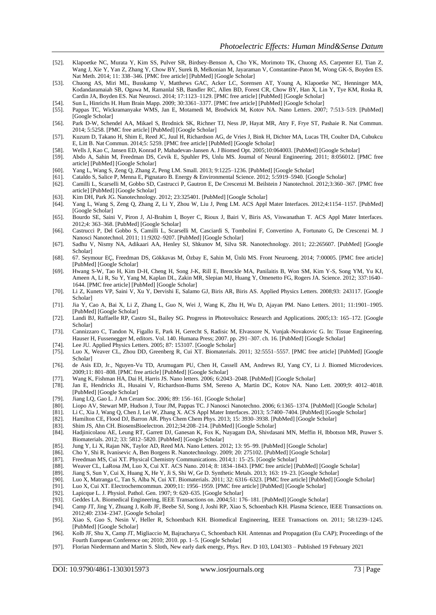- [52]. Klapoetke NC, Murata Y, Kim SS, Pulver SR, Birdsey-Benson A, Cho YK, Morimoto TK, Chuong AS, Carpenter EJ, Tian Z, Wang J, Xie Y, Yan Z, Zhang Y, Chow BY, Surek B, Melkonian M, Jayaraman V, Constantine-Paton M, Wong GK-S, Boyden ES. Nat Meth. 2014; 11: 338–346. [\[PMC free article\]](https://www.ncbi.nlm.nih.gov/pmc/articles/PMC3943671/) [\[PubMed\]](https://www.ncbi.nlm.nih.gov/pubmed/24509633) [\[Google Scholar\]](https://scholar.google.com/scholar_lookup?journal=Nat+Meth&author=NC+Klapoetke&author=Y+Murata&author=SS+Kim&author=SR+Pulver&author=A+Birdsey-Benson&volume=11&publication_year=2014&pages=338-346&)
- [53]. Chuong AS, Miri ML, Busskamp V, Matthews GAC, Acker LC, Sorensen AT, Young A, Klapoetke NC, Henninger MA, Kodandaramaiah SB, Ogawa M, Ramanlal SB, Bandler RC, Allen BD, Forest CR, Chow BY, Han X, Lin Y, Tye KM, Roska B, Cardin JA, Boyden ES. Nat Neurosci. 2014; 17:1123–1129. [\[PMC free article\]](https://www.ncbi.nlm.nih.gov/pmc/articles/PMC4184214/) [\[PubMed\]](https://www.ncbi.nlm.nih.gov/pubmed/24997763) [\[Google Scholar\]](https://scholar.google.com/scholar_lookup?journal=Nat+Neurosci&author=AS+Chuong&author=ML+Miri&author=V+Busskamp&author=GAC+Matthews&author=LC+Acker&volume=17&publication_year=2014&pages=1123-1129&pmid=24997763&)
- [54]. Sun L, Hinrichs H. Hum Brain Mapp. 2009; 30:3361–3377. [\[PMC free article\]](https://www.ncbi.nlm.nih.gov/pmc/articles/PMC6870712/) [\[PubMed\]](https://www.ncbi.nlm.nih.gov/pubmed/19365799) [\[Google Scholar\]](https://scholar.google.com/scholar_lookup?journal=Hum+Brain+Mapp&author=L+Sun&author=H+Hinrichs&volume=30&publication_year=2009&pages=3361-3377&pmid=19365799&)
- [55]. Pappas TC, Wickramanyake WMS, Jan E, Motamedi M, Brodwick M, Kotov NA. Nano Letters. 2007; 7:513–519. [\[PubMed\]](https://www.ncbi.nlm.nih.gov/pubmed/17298018) [\[Google Scholar\]](https://scholar.google.com/scholar_lookup?journal=Nano+Letters&author=TC+Pappas&author=WMS+Wickramanyake&author=E+Jan&author=M+Motamedi&author=M+Brodwick&volume=7&publication_year=2007&pages=513-519&pmid=17298018&)
- [56]. Park D-W, Schendel AA, Mikael S, Brodnick SK, Richner TJ, Ness JP, Hayat MR, Atry F, Frye ST, Pashaie R. Nat Commun. 2014; 5:5258. [\[PMC free article\]](https://www.ncbi.nlm.nih.gov/pmc/articles/PMC4218963/) [\[PubMed\]](https://www.ncbi.nlm.nih.gov/pubmed/25327513) [\[Google Scholar\]](https://scholar.google.com/scholar_lookup?journal=Nat+Commun&author=D-W+Park&author=AA+Schendel&author=S+Mikael&author=SK+Brodnick&author=TJ+Richner&volume=5&publication_year=2014&pages=5258&pmid=25327513&)
- [57]. Kuzum D, Takano H, Shim E, Reed JC, Juul H, Richardson AG, de Vries J, Bink H, Dichter MA, Lucas TH, Coulter DA, Cubukcu E, Litt B. Nat Commun. 2014;5: 5259. [\[PMC free article\]](https://www.ncbi.nlm.nih.gov/pmc/articles/PMC4331185/) [\[PubMed\]](https://www.ncbi.nlm.nih.gov/pubmed/25327632) [\[Google Scholar\]](https://scholar.google.com/scholar_lookup?journal=Nat+Commun&author=D+Kuzum&author=H+Takano&author=E+Shim&author=JC+Reed&author=H+Juul&volume=5&publication_year=2014&pages=5259&pmid=25327632&)
- [58]. Wells J, Kao C, Jansen ED, Konrad P, Mahadevan-Jansen A. J Biomed Opt. 2005;10:064003. [\[PubMed\]](https://www.ncbi.nlm.nih.gov/pubmed/16409069) [\[Google Scholar\]](https://scholar.google.com/scholar_lookup?journal=J+Biomed+Opt&author=J+Wells&author=C+Kao&author=ED+Jansen&author=P+Konrad&author=A+Mahadevan-Jansen&volume=10&publication_year=2005&pages=064003&pmid=16409069&)
- [59]. Abdo A, Sahin M, Freedman DS, Cevik E, Spuhler PS, Unlu MS. Journal of Neural Engineering. 2011; 8:056012. [\[PMC free](https://www.ncbi.nlm.nih.gov/pmc/articles/PMC3205078/)  [article\]](https://www.ncbi.nlm.nih.gov/pmc/articles/PMC3205078/) [\[PubMed\]](https://www.ncbi.nlm.nih.gov/pubmed/21914931) [\[Google Scholar\]](https://scholar.google.com/scholar_lookup?journal=Journal+of+Neural+Engineering&author=A+Abdo&author=M+Sahin&author=DS+Freedman&author=E+Cevik&author=PS+Spuhler&volume=8&publication_year=2011&pages=056012&pmid=21914931&)
- [60]. Yang L, Wang S, Zeng Q, Zhang Z, Peng LM. Small. 2013; 9:1225–1236. [\[PubMed\]](https://www.ncbi.nlm.nih.gov/pubmed/23529815) [\[Google Scholar\]](https://scholar.google.com/scholar_lookup?journal=Small&author=L+Yang&author=S+Wang&author=Q+Zeng&author=Z+Zhang&author=LM+Peng&volume=9&publication_year=2013&pages=1225-1236&pmid=23529815&)
- [61]. Cataldo S, Salice P, Menna E, Pignataro B. Energy & Environmental Science. 2012; 5:5919–5940. [\[Google Scholar\]](https://scholar.google.com/scholar_lookup?journal=Energy+&+Environmental+Science&author=S+Cataldo&author=P+Salice&author=E+Menna&author=B+Pignataro&volume=5&publication_year=2012&pages=5919-5940&)
- [62]. Camilli L, Scarselli M, Gobbo SD, Castrucci P, Gautron E, De Crescenzi M. Beilstein J Nanotechnol. 2012;3:360–367. [\[PMC free](https://www.ncbi.nlm.nih.gov/pmc/articles/PMC3388360/)  [article\]](https://www.ncbi.nlm.nih.gov/pmc/articles/PMC3388360/) [\[PubMed\]](https://www.ncbi.nlm.nih.gov/pubmed/23016140) [\[Google Scholar\]](https://scholar.google.com/scholar_lookup?journal=Beilstein+J+Nanotechnol&author=L+Camilli&author=M+Scarselli&author=SD+Gobbo&author=P+Castrucci&author=E+Gautron&volume=3&publication_year=2012&pages=360-367&pmid=23016140&)
- [63]. Kim DH, Park JG. Nanotechnology. 2012; 23:325401. [\[PubMed\]](https://www.ncbi.nlm.nih.gov/pubmed/22825051) [Google [Scholar\]](https://scholar.google.com/scholar_lookup?journal=Nanotechnology&author=DH+Kim&author=JG+Park&volume=23&publication_year=2012&pages=325401&pmid=22825051&)
- [64]. Yang L, Wang S, Zeng Q, Zhang Z, Li Y, Zhou W, Liu J, Peng LM. ACS Appl Mater Interfaces. 2012;4:1154–1157. [\[PubMed\]](https://www.ncbi.nlm.nih.gov/pubmed/22324635) [\[Google Scholar\]](https://scholar.google.com/scholar_lookup?journal=ACS+Appl+Mater+Interfaces&author=L+Yang&author=S+Wang&author=Q+Zeng&author=Z+Zhang&author=Y+Li&volume=4&publication_year=2012&pages=1154-1157&pmid=22324635&)
- [65]. Bourdo SE, Saini V, Piron J, Al-Brahim I, Boyer C, Rioux J, Bairi V, Biris AS, Viswanathan T. ACS Appl Mater Interfaces. 2012;4: 363–368. [\[PubMed\]](https://www.ncbi.nlm.nih.gov/pubmed/22200124) [\[Google Scholar\]](https://scholar.google.com/scholar_lookup?journal=ACS+Appl+Mater+Interfaces&author=SE+Bourdo&author=V+Saini&author=J+Piron&author=I+Al-Brahim&author=C+Boyer&volume=4&publication_year=2012&pages=363-368&pmid=22200124&)
- [66]. Castrucci P, Del Gobbo S, Camilli L, Scarselli M, Casciardi S, Tombolini F, Convertino A, Fortunato G, De Crescenzi M. J Nanosci Nanotechnol. 2011; 11:9202–9207. [\[PubMed\]](https://www.ncbi.nlm.nih.gov/pubmed/22400324) [\[Google Scholar\]](https://scholar.google.com/scholar_lookup?journal=J+Nanosci+Nanotechnol&author=P+Castrucci&author=S+Del+Gobbo&author=L+Camilli&author=M+Scarselli&author=S+Casciardi&volume=11&publication_year=2011&pages=9202-9207&pmid=22400324&)
- [67]. Sadhu V, Nismy NA, Adikaari AA, Henley SJ, Shkunov M, Silva SR. Nanotechnology. 2011; 22:265607. [\[PubMed\]](https://www.ncbi.nlm.nih.gov/pubmed/21576781) [\[Google](https://scholar.google.com/scholar_lookup?journal=Nanotechnology&author=V+Sadhu&author=NA+Nismy&author=AA+Adikaari&author=SJ+Henley&author=M+Shkunov&volume=22&publication_year=2011&pages=265607&pmid=21576781&)  [Scholar\]](https://scholar.google.com/scholar_lookup?journal=Nanotechnology&author=V+Sadhu&author=NA+Nismy&author=AA+Adikaari&author=SJ+Henley&author=M+Shkunov&volume=22&publication_year=2011&pages=265607&pmid=21576781&)
- [68]. 67. Seymour EÇ, Freedman DS, Gökkavas M, Özbay E, Sahin M, Ünlü MS. Front Neuroeng. 2014; 7:00005. [\[PMC free article\]](https://www.ncbi.nlm.nih.gov/pmc/articles/PMC3927122/) [\[PubMed\]](https://www.ncbi.nlm.nih.gov/pubmed/24600390) [\[Google Scholar\]](https://scholar.google.com/scholar_lookup?journal=Front+Neuroeng&author=E%C3%87+Seymour&author=DS+Freedman&author=M+G%C3%B6kkavas&author=E+%C3%96zbay&author=M+Sahin&volume=7&publication_year=2014&pages=00005&)
- [69]. Hwang S-W, Tao H, Kim D-H, Cheng H, Song J-K, Rill E, Brenckle MA, Panilaitis B, Won SM, Kim Y-S, Song YM, Yu KJ, Ameen A, Li R, Su Y, Yang M, Kaplan DL, Zakin MR, Slepian MJ, Huang Y, Omenetto FG, Rogers JA. Science. 2012; 337:1640– 1644. [\[PMC free article\]](https://www.ncbi.nlm.nih.gov/pmc/articles/PMC3786576/) [\[PubMed\]](https://www.ncbi.nlm.nih.gov/pubmed/23019646) [\[Google Scholar\]](https://scholar.google.com/scholar_lookup?journal=Science&author=S-W+Hwang&author=H+Tao&author=D-H+Kim&author=H+Cheng&author=J-K+Song&volume=337&publication_year=2012&pages=1640-1644&pmid=23019646&)
- [70]. Li Z, Kunets VP, Saini V, Xu Y, Dervishi E, Salamo GJ, Biris AR, Biris AS. Applied Physics Letters. 2008;93: 243117. [\[Google](https://scholar.google.com/scholar_lookup?journal=Applied+Physics+Letters&author=Z+Li&author=VP+Kunets&author=V+Saini&author=Y+Xu&author=E+Dervishi&volume=93&publication_year=2008&pages=243117&)  [Scholar\]](https://scholar.google.com/scholar_lookup?journal=Applied+Physics+Letters&author=Z+Li&author=VP+Kunets&author=V+Saini&author=Y+Xu&author=E+Dervishi&volume=93&publication_year=2008&pages=243117&)
- [71]. Jia Y, Cao A, Bai X, Li Z, Zhang L, Guo N, Wei J, Wang K, Zhu H, Wu D, Ajayan PM. Nano Letters. 2011; 11:1901–1905. [\[PubMed\]](https://www.ncbi.nlm.nih.gov/pubmed/21452837) [\[Google Scholar\]](https://scholar.google.com/scholar_lookup?journal=Nano+Letters&author=Y+Jia&author=A+Cao&author=X+Bai&author=Z+Li&author=L+Zhang&volume=11&publication_year=2011&pages=1901-1905&pmid=21452837&)
- [72]. Landi BJ, Raffaelle RP, Castro SL, Bailey SG. Progress in Photovoltaics: Research and Applications. 2005;13: 165–172. [\[Google](https://scholar.google.com/scholar_lookup?journal=Progress+in+Photovoltaics:+Research+and+Applications&author=BJ+Landi&author=RP+Raffaelle&author=SL+Castro&author=SG+Bailey&volume=13&publication_year=2005&pages=165-172&)  [Scholar\]](https://scholar.google.com/scholar_lookup?journal=Progress+in+Photovoltaics:+Research+and+Applications&author=BJ+Landi&author=RP+Raffaelle&author=SL+Castro&author=SG+Bailey&volume=13&publication_year=2005&pages=165-172&)
- [73]. Cannizzaro C, Tandon N, Figallo E, Park H, Gerecht S, Radisic M, Elvassore N, Vunjak-Novakovic G. In: Tissue Engineering. Hauser H, Fussenegger M, editors. Vol. 140. Humana Press; 2007. pp. 291–307. ch. 16. [\[PubMed\]](https://www.ncbi.nlm.nih.gov/pubmed/18085215) [\[Google Scholar\]](https://scholar.google.com/scholar_lookup?title=Tissue+Engineering&author=C+Cannizzaro&author=N+Tandon&author=E+Figallo&author=H+Park&author=S+Gerecht&publication_year=2007&)
- [74]. Lee JU. Applied Physics Letters. 2005; 87: 153107. [\[Google Scholar\]](https://scholar.google.com/scholar_lookup?journal=Applied+Physics+Letters&author=JU+Lee&volume=87&publication_year=2005&pages=153107&)
- [75]. Luo X, Weaver CL, Zhou DD, Greenberg R, Cui XT. Biomaterials. 2011; 32:5551–5557. [\[PMC free article\]](https://www.ncbi.nlm.nih.gov/pmc/articles/PMC3109196/) [\[PubMed\]](https://www.ncbi.nlm.nih.gov/pubmed/21601278) [\[Google](https://scholar.google.com/scholar_lookup?journal=Biomaterials&author=X+Luo&author=CL+Weaver&author=DD+Zhou&author=R+Greenberg&author=XT+Cui&volume=32&publication_year=2011&pages=5551-5557&pmid=21601278&)  [Scholar\]](https://scholar.google.com/scholar_lookup?journal=Biomaterials&author=X+Luo&author=CL+Weaver&author=DD+Zhou&author=R+Greenberg&author=XT+Cui&volume=32&publication_year=2011&pages=5551-5557&pmid=21601278&)
- [76]. de Asis ED, Jr., Nguyen-Vu TD, Arumugam PU, Chen H, Cassell AM, Andrews RJ, Yang CY, Li J. Biomed Microdevices. 2009;11: 801–808. [\[PMC free article\]](https://www.ncbi.nlm.nih.gov/pmc/articles/PMC2708324/) [\[PubMed\]](https://www.ncbi.nlm.nih.gov/pubmed/19291408) [\[Google Scholar\]](https://scholar.google.com/scholar_lookup?journal=Biomed+Microdevices&author=ED+de+Asis&author=TD+Nguyen-Vu&author=PU+Arumugam&author=H+Chen&author=AM+Cassell&volume=11&publication_year=2009&pages=801-808&pmid=19291408&)
- [77]. Wang K, Fishman HA, Dai H, Harris JS. Nano letters. 2006; 6:2043–2048. [\[PubMed\]](https://www.ncbi.nlm.nih.gov/pubmed/16968023) [\[Google Scholar\]](https://scholar.google.com/scholar_lookup?journal=Nano+letters&author=K+Wang&author=HA+Fishman&author=H+Dai&author=JS+Harris&volume=6&publication_year=2006&pages=2043-2048&pmid=16968023&)
- [78]. Jan E, Hendricks JL, Husaini V, Richardson-Burns SM, Sereno A, Martin DC, Kotov NA. Nano Lett. 2009;9: 4012–4018. [\[PubMed\]](https://www.ncbi.nlm.nih.gov/pubmed/19785391) [\[Google Scholar\]](https://scholar.google.com/scholar_lookup?journal=Nano+Lett&author=E+Jan&author=JL+Hendricks&author=V+Husaini&author=SM+Richardson-Burns&author=A+Sereno&volume=9&publication_year=2009&pages=4012-4018&pmid=19785391&)
- [79]. Jiang LQ, Gao L. J Am Ceram Soc. 2006; 89: 156–161. [\[Google Scholar\]](https://scholar.google.com/scholar_lookup?journal=J+Am+Ceram+Soc&author=LQ+Jiang&author=L+Gao&volume=89&publication_year=2006&pages=156-161&) [80]. Liopo AV, Stewart MP, Hudson J, Tour JM, Pappas TC. J Nanosci Nanote
- [80]. Liopo AV, Stewart MP, Hudson J, Tour JM, Pappas TC. J Nanosci Nanotechno. 2006; 6:1365–1374. [\[PubMed\]](https://www.ncbi.nlm.nih.gov/pubmed/16792366) [\[Google Scholar\]](https://scholar.google.com/scholar_lookup?journal=J+Nanosci+Nanotechno&author=AV+Liopo&author=MP+Stewart&author=J+Hudson&author=JM+Tour&author=TC+Pappas&volume=6&publication_year=2006&pages=1365-1374&) [81]. Li C, Xia J, Wang Q, Chen J, Lei W, Zhang X. ACS Appl Mater Interfaces. 2013; 5:7400–7404.
- Li C, Xia J, Wang Q, Chen J, Lei W, Zhang X. ACS Appl Mater Interfaces. 2013; 5:7400–7404. [\[PubMed\]](https://www.ncbi.nlm.nih.gov/pubmed/23844806) [\[Google Scholar\]](https://scholar.google.com/scholar_lookup?journal=ACS+Appl+Mater+Interfaces&author=C+Li&author=J+Xia&author=Q+Wang&author=J+Chen&author=W+Lei&volume=5&publication_year=2013&pages=7400-7404&pmid=23844806&)
- [82]. Hamilton CE, Flood DJ, Barron AR. Phys Chem Chem Phys. 2013; 15: 3930–3938. [\[PubMed\]](https://www.ncbi.nlm.nih.gov/pubmed/23403836) [\[Google Scholar\]](https://scholar.google.com/scholar_lookup?journal=Phys+Chem+Chem+Phys&author=CE+Hamilton&author=DJ+Flood&author=AR+Barron&volume=15&publication_year=2013&pages=3930-3938&pmid=23403836&) [83]. Shim JS, Ahn CH. BiosensBioelectron. 2012;34:208–214. [PubMed] [Google Scholar]
- Shim JS, Ahn CH. BiosensBioelectron. 2012;34:208-214. [\[PubMed\]](https://www.ncbi.nlm.nih.gov/pubmed/22386485) [\[Google Scholar\]](https://scholar.google.com/scholar_lookup?journal=Biosens+Bioelectron&author=JS+Shim&author=CH+Ahn&volume=34&publication_year=2012&pages=208-214&pmid=22386485&)
- [84]. Hadjinicolaou AE, Leung RT, Garrett DJ, Ganesan K, Fox K, Nayagam DA, Shivdasani MN, Meffin H, Ibbotson MR, Prawer S. Biomaterials. 2012; 33: 5812–5820. [\[PubMed\]](https://www.ncbi.nlm.nih.gov/pubmed/22613134) [\[Google Scholar\]](https://scholar.google.com/scholar_lookup?journal=Biomaterials&author=AE+Hadjinicolaou&author=RT+Leung&author=DJ+Garrett&author=K+Ganesan&author=K+Fox&volume=33&publication_year=2012&pages=5812-5820&pmid=22613134&)
- [85]. Jung Y, Li X, Rajan NK, Taylor AD, Reed MA. Nano Letters. 2012; 13: 95–99. [\[PubMed\]](https://www.ncbi.nlm.nih.gov/pubmed/23237412) [\[Google Scholar\]](https://scholar.google.com/scholar_lookup?journal=Nano+Letters&author=Y+Jung&author=X+Li&author=NK+Rajan&author=AD+Taylor&author=MA+Reed&volume=13&publication_year=2012&pages=95-99&pmid=23237412&) [86]. Cho Y, Shi R, Ivanisevic A, Ben Borgens R. Nanotechnology. 2009; 20: 275102. [PubMed] [Google Scholar]
- [86]. Cho Y, Shi R, Ivanisevic A, Ben Borgens R. Nanotechnology. 2009; 20: 275102. [\[PubMed\]](https://www.ncbi.nlm.nih.gov/pubmed/19528680) [\[Google Scholar\]](https://scholar.google.com/scholar_lookup?journal=Nanotechnology&author=Y+Cho&author=R+Shi&author=A+Ivanisevic&author=R+Ben+Borgens&volume=20&publication_year=2009&pages=275102&pmid=19528680&) [87]. Freedman MS, Cui XT. Physical Chemistry Communications. 2014;1: 15–25. [Google Scholar]
- Freedman MS, Cui XT. Physical Chemistry Communications. 2014;1: 15–25. [\[Google Scholar\]](https://scholar.google.com/scholar_lookup?journal=Physical+Chemistry+Communications&author=MS+Freedman&author=XT+Cui&volume=1&publication_year=2014&pages=15-25&)
- [88]. Weaver CL, LaRosa JM, Luo X, Cui XT. ACS Nano. 2014; 8: 1834–1843. [\[PMC free article\]](https://www.ncbi.nlm.nih.gov/pmc/articles/PMC4004293/) [\[PubMed\]](https://www.ncbi.nlm.nih.gov/pubmed/24428340) [\[Google Scholar\]](https://scholar.google.com/scholar_lookup?journal=ACS+Nano&author=CL+Weaver&author=JM+LaRosa&author=X+Luo&author=XT+Cui&volume=8&publication_year=2014&pages=1834-1843&pmid=24428340&)
- [89]. Jiang S, Sun Y, Cui X, Huang X, He Y, Ji S, Shi W, Ge D. Synthetic Metals. 2013; 163: 19–23. [\[Google Scholar\]](https://scholar.google.com/scholar_lookup?journal=Synthetic+Metals&author=S+Jiang&author=Y+Sun&author=X+Cui&author=X+Huang&author=Y+He&volume=163&publication_year=2013&pages=19-23&)
- [90]. Luo X, Matranga C, Tan S, Alba N, Cui XT. Biomaterials. 2011; 32: 6316–6323. [\[PMC free article\]](https://www.ncbi.nlm.nih.gov/pmc/articles/PMC3387429/) [\[PubMed\]](https://www.ncbi.nlm.nih.gov/pubmed/21636128) [\[Google Scholar\]](https://scholar.google.com/scholar_lookup?journal=Biomaterials&author=X+Luo&author=C+Matranga&author=S+Tan&author=N+Alba&author=XT+Cui&volume=32&publication_year=2011&pages=6316-6323&pmid=21636128&)
- Luo X, Cui XT. Electrochemcommun. 2009;11: 1956-1959. [\[PMC free article\]](https://www.ncbi.nlm.nih.gov/pmc/articles/PMC2770182/) [\[PubMed\]](https://www.ncbi.nlm.nih.gov/pubmed/20160915) [\[Google Scholar\]](https://scholar.google.com/scholar_lookup?journal=Electrochem+commun&author=X+Luo&author=XT+Cui&volume=11&publication_year=2009&pages=1956-1959&pmid=20160915&)
- [92]. Lapicque L. J. Physiol. Pathol. Gen. 1907; 9: 620–635. [\[Google Scholar\]](https://scholar.google.com/scholar_lookup?journal=J.+Physiol.+Pathol.+Gen&author=L+Lapicque&volume=9&publication_year=1907&pages=620-635&)
- [93]. Geddes LA. Biomedical Engineering, IEEE Transactions on. 2004;51: 176–181. [\[PubMed\]](https://www.ncbi.nlm.nih.gov/pubmed/14723507) [\[Google Scholar\]](https://scholar.google.com/scholar_lookup?journal=Biomedical+Engineering,+IEEE+Transactions+on&author=LA+Geddes&volume=51&publication_year=2004&pages=176-181&) [94]. Camp JT, Jing Y, Zhuang J, Kolb JF, Beebe SJ, Song J, Joshi RP, Xiao S, Schoenbach KH. Plasma Science,
- [94]. Camp JT, Jing Y, Zhuang J, Kolb JF, Beebe SJ, Song J, Joshi RP, Xiao S, Schoenbach KH. Plasma Science, IEEE Transactions on. 2012;40: 2334–2347. [\[Google Scholar\]](https://scholar.google.com/scholar_lookup?journal=Plasma+Science,+IEEE+Transactions+on&author=JT+Camp&author=Y+Jing&author=J+Zhuang&author=JF+Kolb&author=SJ+Beebe&volume=40&publication_year=2012&pages=2334-2347&)
- [95]. Xiao S, Guo S, Nesin V, Heller R, Schoenbach KH. Biomedical Engineering, IEEE Transactions on. 2011; 58:1239–1245. [\[PubMed\]](https://www.ncbi.nlm.nih.gov/pubmed/21303739) [\[Google Scholar\]](https://scholar.google.com/scholar_lookup?journal=Biomedical+Engineering,+IEEE+Transactions+on&author=S+Xiao&author=S+Guo&author=V+Nesin&author=R+Heller&author=KH+Schoenbach&volume=58&publication_year=2011&pages=1239-1245&)
- [96]. Kolb JF, Shu X, Camp JT, Migliaccio M, Bajracharya C, Schoenbach KH. Antennas and Propagation (Eu CAP); Proceedings of the Fourth European Conference on; 2010; 2010. pp. 1–5. [\[Google Scholar\]](https://scholar.google.com/scholar_lookup?journal=Antennas+and+Propagation+%28EuCAP%29&author=JF+Kolb&author=X+Shu&author=JT+Camp&author=M+Migliaccio&author=C+Bajracharya&publication_year=2010&pages=1-5&)
- [97]. Florian Niedermann and Martin S. Sloth, New early dark energy, Phys. Rev. D 103, L041303 Published 19 February 2021